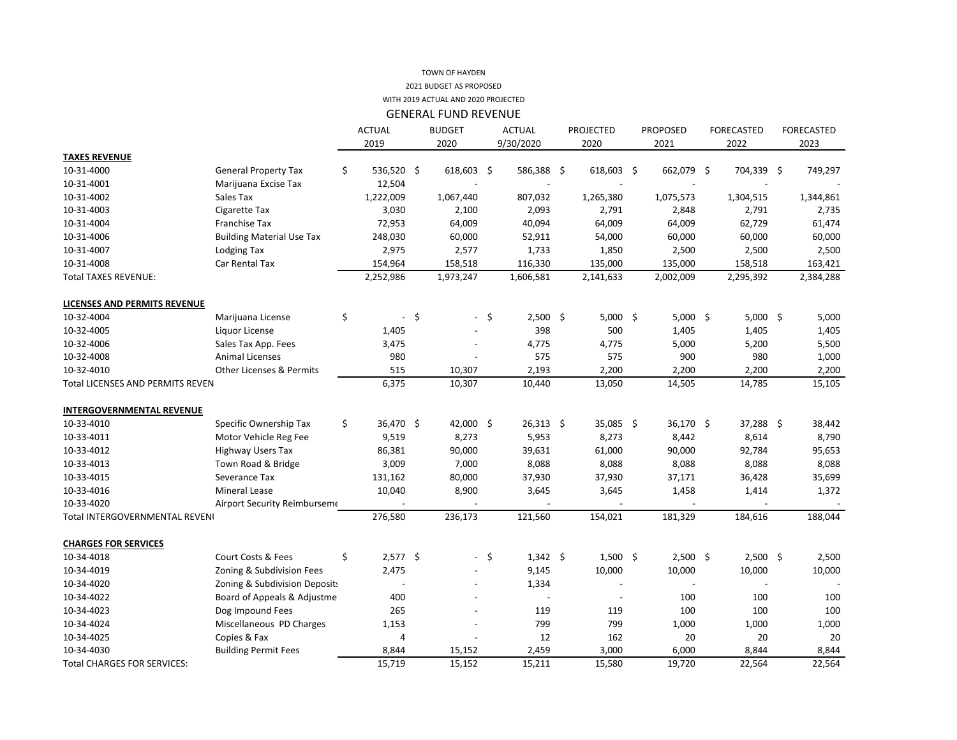## 2021 BUDGET AS PROPOSED TOWN OF HAYDEN WITH 2019 ACTUAL AND 2020 PROJECTED

| <b>ACTUAL</b><br><b>BUDGET</b><br><b>ACTUAL</b><br><b>PROJECTED</b><br><b>PROPOSED</b><br><b>FORECASTED</b><br><b>FORECASTED</b><br>2019<br>9/30/2020<br>2020<br>2020<br>2021<br>2022<br>2023<br><b>TAXES REVENUE</b><br>10-31-4000<br>\$<br>536,520 \$<br>618,603 \$<br>586,388 \$<br>618,603 \$<br>662,079 \$<br>704,339 \$<br><b>General Property Tax</b><br>10-31-4001<br>Marijuana Excise Tax<br>12,504 | 749,297<br>1,344,861<br>2,735<br>61,474<br>60,000 |
|--------------------------------------------------------------------------------------------------------------------------------------------------------------------------------------------------------------------------------------------------------------------------------------------------------------------------------------------------------------------------------------------------------------|---------------------------------------------------|
|                                                                                                                                                                                                                                                                                                                                                                                                              |                                                   |
|                                                                                                                                                                                                                                                                                                                                                                                                              |                                                   |
|                                                                                                                                                                                                                                                                                                                                                                                                              |                                                   |
|                                                                                                                                                                                                                                                                                                                                                                                                              |                                                   |
|                                                                                                                                                                                                                                                                                                                                                                                                              |                                                   |
| 10-31-4002<br>1,222,009<br>1,075,573<br>Sales Tax<br>1,067,440<br>807,032<br>1,265,380<br>1,304,515                                                                                                                                                                                                                                                                                                          |                                                   |
| 10-31-4003<br><b>Cigarette Tax</b><br>3,030<br>2,093<br>2,791<br>2,100<br>2,848<br>2,791                                                                                                                                                                                                                                                                                                                     |                                                   |
| 40,094<br>10-31-4004<br><b>Franchise Tax</b><br>72,953<br>64,009<br>64,009<br>64,009<br>62,729                                                                                                                                                                                                                                                                                                               |                                                   |
| 10-31-4006<br><b>Building Material Use Tax</b><br>248,030<br>60,000<br>52,911<br>54,000<br>60,000<br>60,000                                                                                                                                                                                                                                                                                                  |                                                   |
| 10-31-4007<br>2,975<br>2,577<br>1,733<br>2,500<br>2,500<br>Lodging Tax<br>1,850                                                                                                                                                                                                                                                                                                                              | 2,500                                             |
| 10-31-4008<br>Car Rental Tax<br>158,518<br>116,330<br>135,000<br>135,000<br>154,964<br>158,518                                                                                                                                                                                                                                                                                                               | 163,421                                           |
| <b>Total TAXES REVENUE:</b><br>2,252,986<br>1,973,247<br>1,606,581<br>2,141,633<br>2,002,009<br>2,295,392                                                                                                                                                                                                                                                                                                    | 2,384,288                                         |
|                                                                                                                                                                                                                                                                                                                                                                                                              |                                                   |
| <b>LICENSES AND PERMITS REVENUE</b>                                                                                                                                                                                                                                                                                                                                                                          |                                                   |
| \$<br>$-$ \$<br>$2,500$ \$<br>$5,000$ \$<br>$5,000$ \$<br>$5,000$ \$<br>10-32-4004<br>- \$<br>Marijuana License                                                                                                                                                                                                                                                                                              | 5,000                                             |
| 1,405<br>398<br>500<br>1,405<br>1,405<br>10-32-4005<br>Liquor License                                                                                                                                                                                                                                                                                                                                        | 1,405                                             |
| 10-32-4006<br>Sales Tax App. Fees<br>3,475<br>5,000<br>5,200<br>4,775<br>4,775                                                                                                                                                                                                                                                                                                                               | 5,500                                             |
| <b>Animal Licenses</b><br>980<br>575<br>575<br>900<br>980<br>10-32-4008                                                                                                                                                                                                                                                                                                                                      | 1,000                                             |
| <b>Other Licenses &amp; Permits</b><br>10-32-4010<br>515<br>10,307<br>2,193<br>2,200<br>2,200<br>2,200                                                                                                                                                                                                                                                                                                       | 2,200                                             |
| 6,375<br>10,307<br>10,440<br>13,050<br>14,505<br>14,785<br><b>Total LICENSES AND PERMITS REVEN</b>                                                                                                                                                                                                                                                                                                           | 15,105                                            |
|                                                                                                                                                                                                                                                                                                                                                                                                              |                                                   |
| <b>INTERGOVERNMENTAL REVENUE</b>                                                                                                                                                                                                                                                                                                                                                                             |                                                   |
| 42,000 \$<br>10-33-4010<br>\$<br>36,470 \$<br>$26,313$ \$<br>35,085 \$<br>36,170 \$<br>$37,288$ \$<br>Specific Ownership Tax                                                                                                                                                                                                                                                                                 | 38,442                                            |
| 8,273<br>10-33-4011<br>Motor Vehicle Reg Fee<br>9,519<br>8,273<br>5,953<br>8,442<br>8,614                                                                                                                                                                                                                                                                                                                    | 8,790                                             |
| 10-33-4012<br><b>Highway Users Tax</b><br>39,631<br>90,000<br>86,381<br>90,000<br>61,000<br>92,784                                                                                                                                                                                                                                                                                                           | 95,653                                            |
| 10-33-4013<br>Town Road & Bridge<br>3,009<br>7,000<br>8,088<br>8,088<br>8,088<br>8,088                                                                                                                                                                                                                                                                                                                       | 8,088                                             |
| 10-33-4015<br>Severance Tax<br>131,162<br>80,000<br>37,930<br>37,930<br>37,171<br>36,428                                                                                                                                                                                                                                                                                                                     | 35,699                                            |
| 10-33-4016<br><b>Mineral Lease</b><br>10,040<br>8,900<br>3,645<br>3,645<br>1,458<br>1,414                                                                                                                                                                                                                                                                                                                    | 1,372                                             |
| 10-33-4020<br>Airport Security Reimburseme                                                                                                                                                                                                                                                                                                                                                                   |                                                   |
| 276,580<br>236,173<br>121,560<br>154,021<br>181,329<br>184,616<br>Total INTERGOVERNMENTAL REVENI                                                                                                                                                                                                                                                                                                             | 188,044                                           |
| <b>CHARGES FOR SERVICES</b>                                                                                                                                                                                                                                                                                                                                                                                  |                                                   |
| Court Costs & Fees<br>\$<br>$2,577$ \$<br>$1,342 \; \;$ \$<br>$2,500$ \$<br>$2,500$ \$<br>10-34-4018<br>- \$<br>$1,500$ \$                                                                                                                                                                                                                                                                                   | 2,500                                             |
| 9,145<br>10,000<br>10,000<br>10-34-4019<br>Zoning & Subdivision Fees<br>2,475<br>10,000                                                                                                                                                                                                                                                                                                                      | 10,000                                            |
| 10-34-4020<br>Zoning & Subdivision Deposit:<br>1,334                                                                                                                                                                                                                                                                                                                                                         |                                                   |
| Board of Appeals & Adjustme<br>10-34-4022<br>400<br>100<br>100<br>$\overline{\phantom{a}}$                                                                                                                                                                                                                                                                                                                   | 100                                               |
| 10-34-4023<br>Dog Impound Fees<br>265<br>119<br>100<br>100<br>119                                                                                                                                                                                                                                                                                                                                            | 100                                               |
| Miscellaneous PD Charges<br>799<br>10-34-4024<br>1,153<br>799<br>1,000<br>1,000                                                                                                                                                                                                                                                                                                                              | 1,000                                             |
| Copies & Fax<br>12<br>10-34-4025<br>162<br>20<br>20<br>4                                                                                                                                                                                                                                                                                                                                                     | 20                                                |
| 10-34-4030<br><b>Building Permit Fees</b><br>8,844<br>15,152<br>2,459<br>3,000<br>6,000<br>8,844                                                                                                                                                                                                                                                                                                             | 8,844                                             |
| 15,719<br><b>Total CHARGES FOR SERVICES:</b><br>15,152<br>15,211<br>15,580<br>19,720<br>22,564                                                                                                                                                                                                                                                                                                               | 22,564                                            |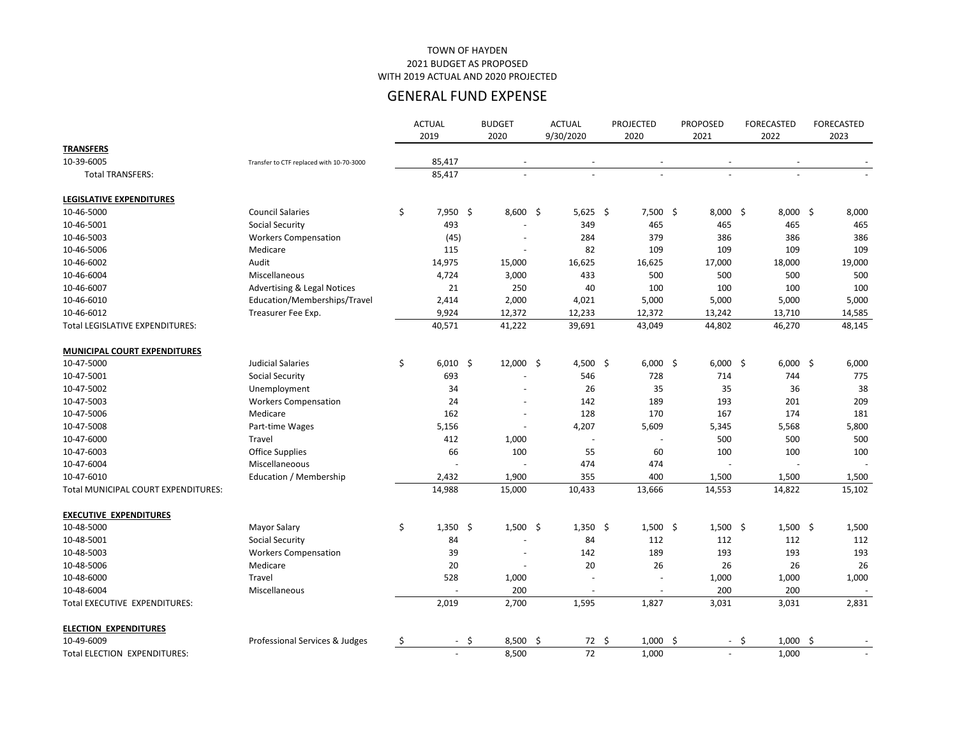|                                            |                                          | <b>ACTUAL</b><br>2019    | <b>BUDGET</b><br>2020    | <b>ACTUAL</b><br>9/30/2020 | <b>PROJECTED</b><br>2020 | <b>PROPOSED</b><br>2021 |        | <b>FORECASTED</b><br>2022 | <b>FORECASTED</b><br>2023 |
|--------------------------------------------|------------------------------------------|--------------------------|--------------------------|----------------------------|--------------------------|-------------------------|--------|---------------------------|---------------------------|
| <b>TRANSFERS</b>                           |                                          |                          |                          |                            |                          |                         |        |                           |                           |
| 10-39-6005                                 | Transfer to CTF replaced with 10-70-3000 | 85,417                   | $\overline{\phantom{a}}$ |                            |                          |                         |        |                           |                           |
| <b>Total TRANSFERS:</b>                    |                                          | 85,417                   | $\overline{\phantom{a}}$ | $\overline{\phantom{0}}$   | $\blacksquare$           |                         |        |                           |                           |
| <b>LEGISLATIVE EXPENDITURES</b>            |                                          |                          |                          |                            |                          |                         |        |                           |                           |
| 10-46-5000                                 | <b>Council Salaries</b>                  | \$<br>$7,950$ \$         | $8,600$ \$               | $5,625$ \$                 | $7,500$ \$               | $8,000$ \$              |        | $8,000$ \$                | 8,000                     |
| 10-46-5001                                 | <b>Social Security</b>                   | 493                      |                          | 349                        | 465                      | 465                     |        | 465                       | 465                       |
| 10-46-5003                                 | <b>Workers Compensation</b>              | (45)                     |                          | 284                        | 379                      | 386                     |        | 386                       | 386                       |
| 10-46-5006                                 | Medicare                                 | 115                      |                          | 82                         | 109                      | 109                     |        | 109                       | 109                       |
| 10-46-6002                                 | Audit                                    | 14,975                   | 15,000                   | 16,625                     | 16,625                   | 17,000                  |        | 18,000                    | 19,000                    |
| 10-46-6004                                 | Miscellaneous                            | 4,724                    | 3,000                    | 433                        | 500                      | 500                     |        | 500                       | 500                       |
| 10-46-6007                                 | <b>Advertising &amp; Legal Notices</b>   | 21                       | 250                      | 40                         | 100                      | 100                     |        | 100                       | 100                       |
| 10-46-6010                                 | Education/Memberships/Travel             | 2,414                    | 2,000                    | 4,021                      | 5,000                    | 5,000                   |        | 5,000                     | 5,000                     |
| 10-46-6012                                 | Treasurer Fee Exp.                       | 9,924                    | 12,372                   | 12,233                     | 12,372                   | 13,242                  |        | 13,710                    | 14,585                    |
| Total LEGISLATIVE EXPENDITURES:            |                                          | 40,571                   | 41,222                   | 39,691                     | 43,049                   | 44,802                  |        | 46,270                    | 48,145                    |
| <b>MUNICIPAL COURT EXPENDITURES</b>        |                                          |                          |                          |                            |                          |                         |        |                           |                           |
| 10-47-5000                                 | <b>Judicial Salaries</b>                 | \$<br>$6,010$ \$         | $12,000$ \$              | 4,500 \$                   | $6,000$ \$               | $6,000$ \$              |        | $6,000$ \$                | 6,000                     |
| 10-47-5001                                 | <b>Social Security</b>                   | 693                      |                          | 546                        | 728                      | 714                     |        | 744                       | 775                       |
| 10-47-5002                                 | Unemployment                             | 34                       |                          | 26                         | 35                       | 35                      |        | 36                        | 38                        |
| 10-47-5003                                 | <b>Workers Compensation</b>              | 24                       | $\overline{\phantom{a}}$ | 142                        | 189                      | 193                     |        | 201                       | 209                       |
| 10-47-5006                                 | Medicare                                 | 162                      |                          | 128                        | 170                      | 167                     |        | 174                       | 181                       |
| 10-47-5008                                 | Part-time Wages                          | 5,156                    |                          | 4,207                      | 5,609                    | 5,345                   |        | 5,568                     | 5,800                     |
| 10-47-6000                                 | Travel                                   | 412                      | 1,000                    |                            |                          | 500                     |        | 500                       | 500                       |
| 10-47-6003                                 | <b>Office Supplies</b>                   | 66                       | 100                      | 55                         | 60                       | 100                     |        | 100                       | 100                       |
| 10-47-6004                                 | Miscellaneoous                           |                          |                          | 474                        | 474                      |                         |        |                           |                           |
| 10-47-6010                                 | Education / Membership                   | 2,432                    | 1,900                    | 355                        | 400                      | 1,500                   |        | 1,500                     | 1,500                     |
| <b>Total MUNICIPAL COURT EXPENDITURES:</b> |                                          | 14,988                   | 15,000                   | 10,433                     | 13,666                   | 14,553                  |        | 14,822                    | 15,102                    |
| <b>EXECUTIVE EXPENDITURES</b>              |                                          |                          |                          |                            |                          |                         |        |                           |                           |
| 10-48-5000                                 | <b>Mayor Salary</b>                      | \$<br>$1,350$ \$         | $1,500$ \$               | $1,350$ \$                 | $1,500$ \$               | $1,500$ \$              |        | $1,500$ \$                | 1,500                     |
| 10-48-5001                                 | <b>Social Security</b>                   | 84                       |                          | 84                         | 112                      | 112                     |        | 112                       | 112                       |
| 10-48-5003                                 | <b>Workers Compensation</b>              | 39                       | $\overline{\phantom{a}}$ | 142                        | 189                      | 193                     |        | 193                       | 193                       |
| 10-48-5006                                 | Medicare                                 | 20                       | $\overline{\phantom{m}}$ | 20                         | 26                       | 26                      |        | 26                        | 26                        |
| 10-48-6000                                 | Travel                                   | 528                      | 1,000                    |                            |                          | 1,000                   |        | 1,000                     | 1,000                     |
| 10-48-6004                                 | Miscellaneous                            |                          | 200                      |                            |                          | 200                     |        | 200                       |                           |
| Total EXECUTIVE EXPENDITURES:              |                                          | 2,019                    | 2,700                    | 1,595                      | 1,827                    | 3,031                   |        | 3,031                     | 2,831                     |
| <b>ELECTION EXPENDITURES</b>               |                                          |                          |                          |                            |                          |                         |        |                           |                           |
| 10-49-6009                                 | Professional Services & Judges           | \$<br>- \$               | $8,500$ \$               | 72 \$                      | $1,000$ \$               |                         | $-$ \$ | $1,000$ \$                |                           |
| Total ELECTION EXPENDITURES:               |                                          | $\overline{\phantom{a}}$ | 8,500                    | 72                         | 1,000                    | $\blacksquare$          |        | 1,000                     |                           |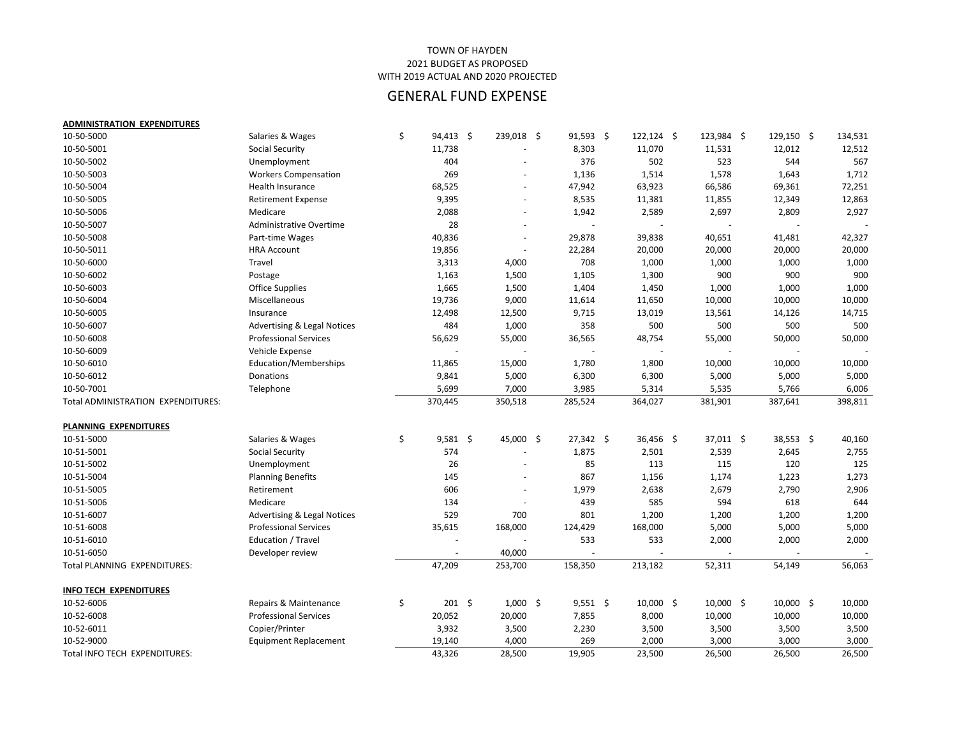| <b>ADMINISTRATION EXPENDITURES</b> |                                        |                     |                          |             |              |             |              |         |
|------------------------------------|----------------------------------------|---------------------|--------------------------|-------------|--------------|-------------|--------------|---------|
| 10-50-5000                         | Salaries & Wages                       | \$<br>$94,413$ \$   | 239,018 \$               | $91,593$ \$ | $122,124$ \$ | 123,984 \$  | $129,150$ \$ | 134,531 |
| 10-50-5001                         | <b>Social Security</b>                 | 11,738              |                          | 8,303       | 11,070       | 11,531      | 12,012       | 12,512  |
| 10-50-5002                         | Unemployment                           | 404                 |                          | 376         | 502          | 523         | 544          | 567     |
| 10-50-5003                         | <b>Workers Compensation</b>            | 269                 |                          | 1,136       | 1,514        | 1,578       | 1,643        | 1,712   |
| 10-50-5004                         | Health Insurance                       | 68,525              | $\overline{\phantom{a}}$ | 47,942      | 63,923       | 66,586      | 69,361       | 72,251  |
| 10-50-5005                         | <b>Retirement Expense</b>              | 9,395               | $\overline{\phantom{a}}$ | 8,535       | 11,381       | 11,855      | 12,349       | 12,863  |
| 10-50-5006                         | Medicare                               | 2,088               | $\overline{\phantom{a}}$ | 1,942       | 2,589        | 2,697       | 2,809        | 2,927   |
| 10-50-5007                         | <b>Administrative Overtime</b>         | 28                  |                          |             |              |             |              |         |
| 10-50-5008                         | Part-time Wages                        | 40,836              | $\overline{\phantom{a}}$ | 29,878      | 39,838       | 40,651      | 41,481       | 42,327  |
| 10-50-5011                         | <b>HRA Account</b>                     | 19,856              |                          | 22,284      | 20,000       | 20,000      | 20,000       | 20,000  |
| 10-50-6000                         | Travel                                 | 3,313               | 4,000                    | 708         | 1,000        | 1,000       | 1,000        | 1,000   |
| 10-50-6002                         | Postage                                | 1,163               | 1,500                    | 1,105       | 1,300        | 900         | 900          | 900     |
| 10-50-6003                         | <b>Office Supplies</b>                 | 1,665               | 1,500                    | 1,404       | 1,450        | 1,000       | 1,000        | 1,000   |
| 10-50-6004                         | Miscellaneous                          | 19,736              | 9,000                    | 11,614      | 11,650       | 10,000      | 10,000       | 10,000  |
| 10-50-6005                         | Insurance                              | 12,498              | 12,500                   | 9,715       | 13,019       | 13,561      | 14,126       | 14,715  |
| 10-50-6007                         | <b>Advertising &amp; Legal Notices</b> | 484                 | 1,000                    | 358         | 500          | 500         | 500          | 500     |
| 10-50-6008                         | <b>Professional Services</b>           | 56,629              | 55,000                   | 36,565      | 48,754       | 55,000      | 50,000       | 50,000  |
| 10-50-6009                         | Vehicle Expense                        |                     |                          |             |              |             |              |         |
| 10-50-6010                         | Education/Memberships                  | 11,865              | 15,000                   | 1,780       | 1,800        | 10,000      | 10,000       | 10,000  |
| 10-50-6012                         | Donations                              | 9,841               | 5,000                    | 6,300       | 6,300        | 5,000       | 5,000        | 5,000   |
| 10-50-7001                         | Telephone                              | 5,699               | 7,000                    | 3,985       | 5,314        | 5,535       | 5,766        | 6,006   |
| Total ADMINISTRATION EXPENDITURES: |                                        | 370,445             | 350,518                  | 285,524     | 364,027      | 381,901     | 387,641      | 398,811 |
| PLANNING EXPENDITURES              |                                        |                     |                          |             |              |             |              |         |
| 10-51-5000                         | Salaries & Wages                       | \$<br>$9,581$ \$    | 45,000 \$                | $27,342$ \$ | $36,456$ \$  | $37,011$ \$ | $38,553$ \$  | 40,160  |
| 10-51-5001                         | <b>Social Security</b>                 | 574                 |                          | 1,875       | 2,501        | 2,539       | 2,645        | 2,755   |
| 10-51-5002                         | Unemployment                           | 26                  |                          | 85          | 113          | 115         | 120          | 125     |
| 10-51-5004                         | <b>Planning Benefits</b>               | 145                 |                          | 867         | 1,156        | 1,174       | 1,223        | 1,273   |
| 10-51-5005                         | Retirement                             | 606                 |                          | 1,979       | 2,638        | 2,679       | 2,790        | 2,906   |
| 10-51-5006                         | Medicare                               | 134                 |                          | 439         | 585          | 594         | 618          | 644     |
| 10-51-6007                         | <b>Advertising &amp; Legal Notices</b> | 529                 | 700                      | 801         | 1,200        | 1,200       | 1,200        | 1,200   |
| 10-51-6008                         | <b>Professional Services</b>           | 35,615              | 168,000                  | 124,429     | 168,000      | 5,000       | 5,000        | 5,000   |
| 10-51-6010                         | Education / Travel                     |                     |                          | 533         | 533          | 2,000       | 2,000        | 2,000   |
| 10-51-6050                         | Developer review                       |                     | 40,000                   |             |              |             |              |         |
| Total PLANNING EXPENDITURES:       |                                        | 47,209              | 253,700                  | 158,350     | 213,182      | 52,311      | 54,149       | 56,063  |
|                                    |                                        |                     |                          |             |              |             |              |         |
| <b>INFO TECH EXPENDITURES</b>      |                                        |                     |                          |             |              |             |              |         |
| 10-52-6006                         | Repairs & Maintenance                  | \$<br>$201 \quad $$ | $1,000$ \$               | $9,551$ \$  | $10,000$ \$  | $10,000$ \$ | $10,000$ \$  | 10,000  |
| 10-52-6008                         | <b>Professional Services</b>           | 20,052              | 20,000                   | 7,855       | 8,000        | 10,000      | 10,000       | 10,000  |
| 10-52-6011                         | Copier/Printer                         | 3,932               | 3,500                    | 2,230       | 3,500        | 3,500       | 3,500        | 3,500   |
| 10-52-9000                         | <b>Equipment Replacement</b>           | 19,140              | 4,000                    | 269         | 2,000        | 3,000       | 3,000        | 3,000   |
| Total INFO TECH EXPENDITURES:      |                                        | 43,326              | 28,500                   | 19,905      | 23,500       | 26,500      | 26,500       | 26,500  |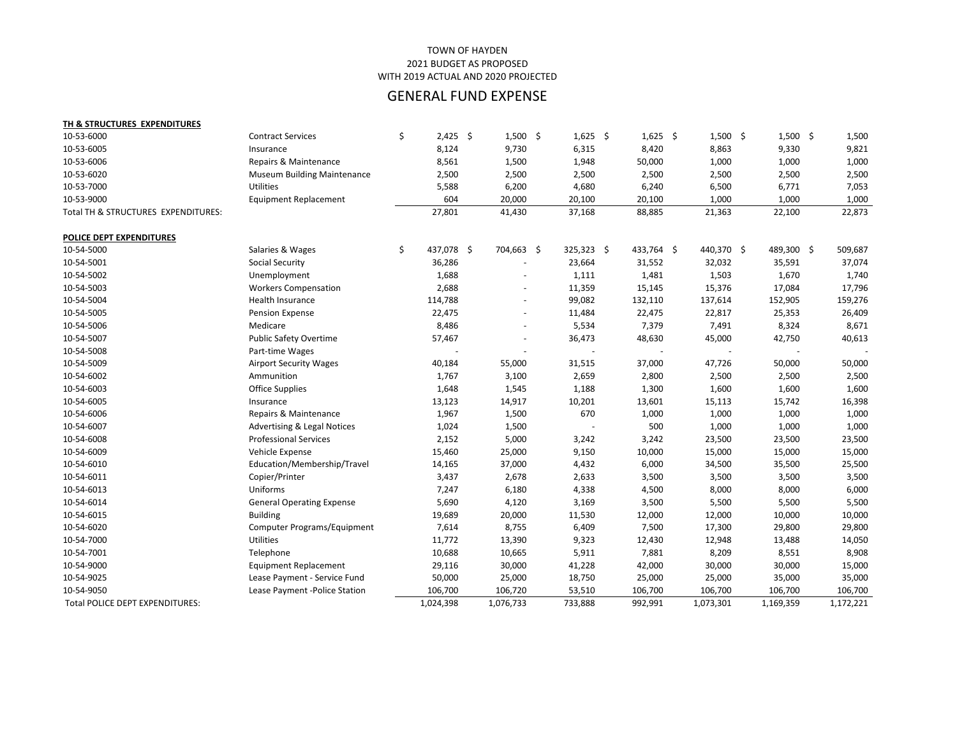| TH & STRUCTURES EXPENDITURES        |                                        |                  |            |            |              |            |            |            |           |
|-------------------------------------|----------------------------------------|------------------|------------|------------|--------------|------------|------------|------------|-----------|
| 10-53-6000                          | <b>Contract Services</b>               | \$<br>$2,425$ \$ |            | $1,500$ \$ | $1,625$ \$   | $1,625$ \$ | $1,500$ \$ | $1,500$ \$ | 1,500     |
| 10-53-6005                          | Insurance                              | 8,124            | 9,730      |            | 6,315        | 8,420      | 8,863      | 9,330      | 9,821     |
| 10-53-6006                          | Repairs & Maintenance                  | 8,561            | 1,500      |            | 1,948        | 50,000     | 1,000      | 1,000      | 1,000     |
| 10-53-6020                          | <b>Museum Building Maintenance</b>     | 2,500            | 2,500      |            | 2,500        | 2,500      | 2,500      | 2,500      | 2,500     |
| 10-53-7000                          | Utilities                              | 5,588            | 6,200      |            | 4,680        | 6,240      | 6,500      | 6,771      | 7,053     |
| 10-53-9000                          | <b>Equipment Replacement</b>           | 604              | 20,000     |            | 20,100       | 20,100     | 1,000      | 1,000      | 1,000     |
| Total TH & STRUCTURES EXPENDITURES: |                                        | 27,801           | 41,430     |            | 37,168       | 88,885     | 21,363     | 22,100     | 22,873    |
| POLICE DEPT EXPENDITURES            |                                        |                  |            |            |              |            |            |            |           |
| 10-54-5000                          | Salaries & Wages                       | \$<br>437,078 \$ | 704,663 \$ |            | $325,323$ \$ | 433,764 \$ | 440,370 \$ | 489,300 \$ | 509,687   |
| 10-54-5001                          | <b>Social Security</b>                 | 36,286           |            |            | 23,664       | 31,552     | 32,032     | 35,591     | 37,074    |
| 10-54-5002                          | Unemployment                           | 1,688            |            |            | 1,111        | 1,481      | 1,503      | 1,670      | 1,740     |
| 10-54-5003                          | <b>Workers Compensation</b>            | 2,688            |            |            | 11,359       | 15,145     | 15,376     | 17,084     | 17,796    |
| 10-54-5004                          | Health Insurance                       | 114,788          |            |            | 99,082       | 132,110    | 137,614    | 152,905    | 159,276   |
| 10-54-5005                          | Pension Expense                        | 22,475           |            |            | 11,484       | 22,475     | 22,817     | 25,353     | 26,409    |
| 10-54-5006                          | Medicare                               | 8,486            |            |            | 5,534        | 7,379      | 7,491      | 8,324      | 8,671     |
| 10-54-5007                          | <b>Public Safety Overtime</b>          | 57,467           |            |            | 36,473       | 48,630     | 45,000     | 42,750     | 40,613    |
| 10-54-5008                          | Part-time Wages                        |                  |            |            |              |            |            |            |           |
| 10-54-5009                          | <b>Airport Security Wages</b>          | 40,184           | 55,000     |            | 31,515       | 37,000     | 47,726     | 50,000     | 50,000    |
| 10-54-6002                          | Ammunition                             | 1,767            | 3,100      |            | 2,659        | 2,800      | 2,500      | 2,500      | 2,500     |
| 10-54-6003                          | <b>Office Supplies</b>                 | 1,648            | 1,545      |            | 1,188        | 1,300      | 1,600      | 1,600      | 1,600     |
| 10-54-6005                          | Insurance                              | 13,123           | 14,917     |            | 10,201       | 13,601     | 15,113     | 15,742     | 16,398    |
| 10-54-6006                          | Repairs & Maintenance                  | 1,967            | 1,500      |            | 670          | 1,000      | 1,000      | 1,000      | 1,000     |
| 10-54-6007                          | <b>Advertising &amp; Legal Notices</b> | 1,024            | 1,500      |            |              | 500        | 1,000      | 1,000      | 1,000     |
| 10-54-6008                          | <b>Professional Services</b>           | 2,152            | 5,000      |            | 3,242        | 3,242      | 23,500     | 23,500     | 23,500    |
| 10-54-6009                          | Vehicle Expense                        | 15,460           | 25,000     |            | 9,150        | 10,000     | 15,000     | 15,000     | 15,000    |
| 10-54-6010                          | Education/Membership/Travel            | 14,165           | 37,000     |            | 4,432        | 6,000      | 34,500     | 35,500     | 25,500    |
| 10-54-6011                          | Copier/Printer                         | 3,437            | 2,678      |            | 2,633        | 3,500      | 3,500      | 3,500      | 3,500     |
| 10-54-6013                          | Uniforms                               | 7,247            | 6,180      |            | 4,338        | 4,500      | 8,000      | 8,000      | 6,000     |
| 10-54-6014                          | <b>General Operating Expense</b>       | 5,690            | 4,120      |            | 3,169        | 3,500      | 5,500      | 5,500      | 5,500     |
| 10-54-6015                          | <b>Building</b>                        | 19,689           | 20,000     |            | 11,530       | 12,000     | 12,000     | 10,000     | 10,000    |
| 10-54-6020                          | Computer Programs/Equipment            | 7,614            | 8,755      |            | 6,409        | 7,500      | 17,300     | 29,800     | 29,800    |
| 10-54-7000                          | <b>Utilities</b>                       | 11,772           | 13,390     |            | 9,323        | 12,430     | 12,948     | 13,488     | 14,050    |
| 10-54-7001                          | Telephone                              | 10,688           | 10,665     |            | 5,911        | 7,881      | 8,209      | 8,551      | 8,908     |
| 10-54-9000                          | <b>Equipment Replacement</b>           | 29,116           | 30,000     |            | 41,228       | 42,000     | 30,000     | 30,000     | 15,000    |
| 10-54-9025                          | Lease Payment - Service Fund           | 50,000           | 25,000     |            | 18,750       | 25,000     | 25,000     | 35,000     | 35,000    |
| 10-54-9050                          | Lease Payment -Police Station          | 106,700          | 106,720    |            | 53,510       | 106,700    | 106,700    | 106,700    | 106,700   |
| Total POLICE DEPT EXPENDITURES:     |                                        | 1,024,398        | 1,076,733  |            | 733,888      | 992,991    | 1,073,301  | 1,169,359  | 1,172,221 |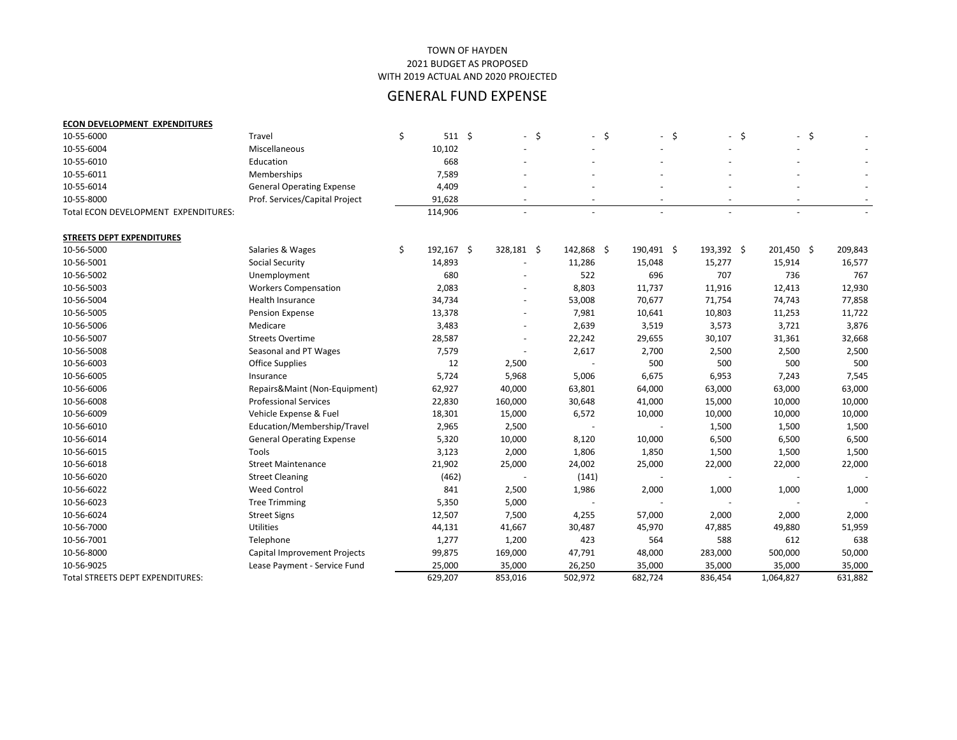### 2021 BUDGET AS PROPOSED WITH 2019 ACTUAL AND 2020 PROJECTED TOWN OF HAYDEN

| <b>ECON DEVELOPMENT EXPENDITURES</b> |                                  |                         |                          |            |                          |                                |      |            |         |
|--------------------------------------|----------------------------------|-------------------------|--------------------------|------------|--------------------------|--------------------------------|------|------------|---------|
| 10-55-6000                           | Travel                           | \$<br>$511 \; \text{S}$ | $-$ \$                   | $-$ \$     | $\overline{\phantom{a}}$ | \$<br>$\overline{\phantom{a}}$ | - \$ | $-$ \$     |         |
| 10-55-6004                           | Miscellaneous                    | 10,102                  |                          |            |                          |                                |      |            |         |
| 10-55-6010                           | Education                        | 668                     |                          |            |                          |                                |      |            |         |
| 10-55-6011                           | Memberships                      | 7,589                   |                          |            |                          |                                |      |            |         |
| 10-55-6014                           | <b>General Operating Expense</b> | 4,409                   |                          |            |                          |                                |      |            |         |
| 10-55-8000                           | Prof. Services/Capital Project   | 91,628                  |                          |            |                          |                                |      |            |         |
| Total ECON DEVELOPMENT EXPENDITURES: |                                  | 114,906                 |                          |            |                          |                                |      |            |         |
| <b>STREETS DEPT EXPENDITURES</b>     |                                  |                         |                          |            |                          |                                |      |            |         |
| 10-56-5000                           | Salaries & Wages                 | \$<br>192,167 \$        | 328,181 \$               | 142,868 \$ | 190,491 \$               | 193,392 \$                     |      | 201,450 \$ | 209,843 |
| 10-56-5001                           | <b>Social Security</b>           | 14,893                  |                          | 11,286     | 15,048                   | 15,277                         |      | 15,914     | 16,577  |
| 10-56-5002                           | Unemployment                     | 680                     |                          | 522        | 696                      | 707                            |      | 736        | 767     |
| 10-56-5003                           | <b>Workers Compensation</b>      | 2,083                   |                          | 8,803      | 11,737                   | 11,916                         |      | 12,413     | 12,930  |
| 10-56-5004                           | <b>Health Insurance</b>          | 34,734                  | $\overline{\phantom{a}}$ | 53,008     | 70,677                   | 71,754                         |      | 74,743     | 77,858  |
| 10-56-5005                           | <b>Pension Expense</b>           | 13,378                  |                          | 7,981      | 10,641                   | 10,803                         |      | 11,253     | 11,722  |
| 10-56-5006                           | Medicare                         | 3,483                   |                          | 2,639      | 3,519                    | 3,573                          |      | 3,721      | 3,876   |
| 10-56-5007                           | <b>Streets Overtime</b>          | 28,587                  |                          | 22,242     | 29,655                   | 30,107                         |      | 31,361     | 32,668  |
| 10-56-5008                           | Seasonal and PT Wages            | 7,579                   |                          | 2,617      | 2,700                    | 2,500                          |      | 2,500      | 2,500   |
| 10-56-6003                           | Office Supplies                  | 12                      | 2,500                    |            | 500                      | 500                            |      | 500        | 500     |
| 10-56-6005                           | Insurance                        | 5,724                   | 5,968                    | 5,006      | 6,675                    | 6,953                          |      | 7,243      | 7,545   |
| 10-56-6006                           | Repairs&Maint (Non-Equipment)    | 62,927                  | 40,000                   | 63,801     | 64,000                   | 63,000                         |      | 63,000     | 63,000  |
| 10-56-6008                           | <b>Professional Services</b>     | 22,830                  | 160,000                  | 30,648     | 41,000                   | 15,000                         |      | 10,000     | 10,000  |
| 10-56-6009                           | Vehicle Expense & Fuel           | 18,301                  | 15,000                   | 6,572      | 10,000                   | 10,000                         |      | 10,000     | 10,000  |
| 10-56-6010                           | Education/Membership/Travel      | 2,965                   | 2,500                    |            |                          | 1,500                          |      | 1,500      | 1,500   |
| 10-56-6014                           | <b>General Operating Expense</b> | 5,320                   | 10,000                   | 8,120      | 10,000                   | 6,500                          |      | 6,500      | 6,500   |
| 10-56-6015                           | Tools                            | 3,123                   | 2,000                    | 1,806      | 1,850                    | 1,500                          |      | 1,500      | 1,500   |
| 10-56-6018                           | <b>Street Maintenance</b>        | 21,902                  | 25,000                   | 24,002     | 25,000                   | 22,000                         |      | 22,000     | 22,000  |
| 10-56-6020                           | <b>Street Cleaning</b>           | (462)                   |                          | (141)      |                          |                                |      |            |         |
| 10-56-6022                           | <b>Weed Control</b>              | 841                     | 2,500                    | 1,986      | 2,000                    | 1,000                          |      | 1,000      | 1,000   |
| 10-56-6023                           | <b>Tree Trimming</b>             | 5,350                   | 5,000                    |            |                          |                                |      |            |         |
| 10-56-6024                           | <b>Street Signs</b>              | 12,507                  | 7,500                    | 4,255      | 57,000                   | 2,000                          |      | 2,000      | 2,000   |
| 10-56-7000                           | <b>Utilities</b>                 | 44,131                  | 41,667                   | 30,487     | 45,970                   | 47,885                         |      | 49,880     | 51,959  |
| 10-56-7001                           | Telephone                        | 1,277                   | 1,200                    | 423        | 564                      | 588                            |      | 612        | 638     |
| 10-56-8000                           | Capital Improvement Projects     | 99,875                  | 169,000                  | 47,791     | 48,000                   | 283,000                        |      | 500,000    | 50,000  |
| 10-56-9025                           | Lease Payment - Service Fund     | 25,000                  | 35,000                   | 26,250     | 35,000                   | 35,000                         |      | 35,000     | 35,000  |
| Total STREETS DEPT EXPENDITURES:     |                                  | 629,207                 | 853,016                  | 502,972    | 682,724                  | 836,454                        |      | 1,064,827  | 631,882 |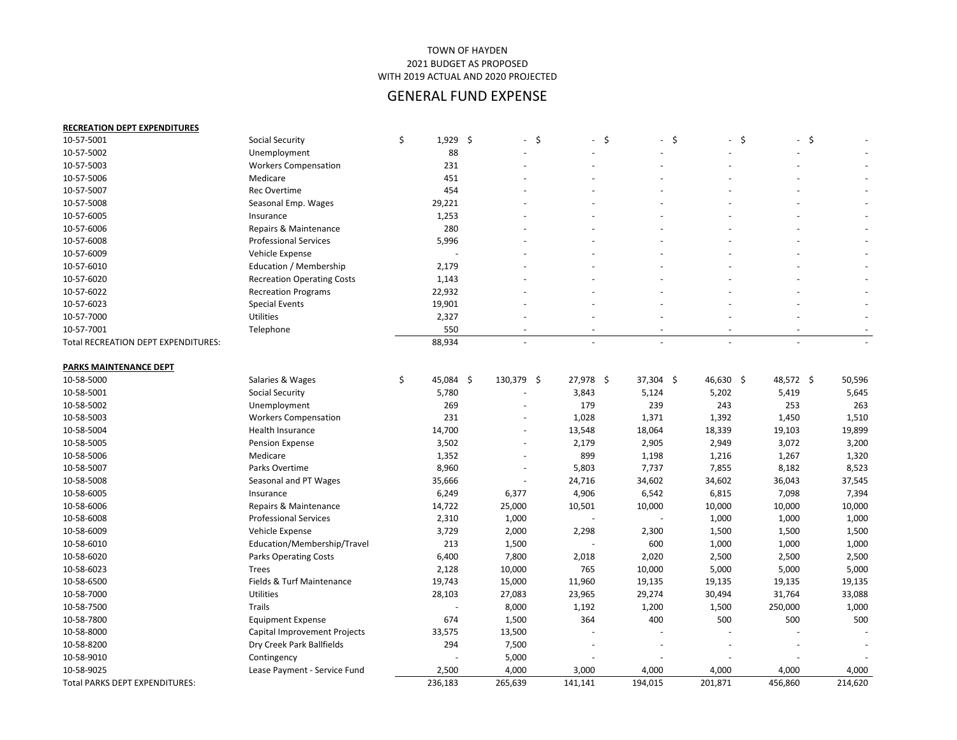| <b>RECREATION DEPT EXPENDITURES</b>        |                                     |                   |            |                          |                          |     |                          |         |                          |           |                          |         |
|--------------------------------------------|-------------------------------------|-------------------|------------|--------------------------|--------------------------|-----|--------------------------|---------|--------------------------|-----------|--------------------------|---------|
| 10-57-5001                                 | <b>Social Security</b>              | \$<br>\$<br>1,929 |            | \$<br>$\sim$             | $\sim$                   | -\$ | $-5$                     |         | $-$ \$                   |           | $-$ \$                   |         |
| 10-57-5002                                 | Unemployment                        | 88                |            |                          |                          |     |                          |         | -                        |           |                          |         |
| 10-57-5003                                 | <b>Workers Compensation</b>         | 231               |            |                          |                          |     |                          |         |                          |           |                          |         |
| 10-57-5006                                 | Medicare                            | 451               |            |                          |                          |     |                          |         |                          |           |                          |         |
| 10-57-5007                                 | <b>Rec Overtime</b>                 | 454               |            |                          |                          |     |                          |         |                          |           |                          |         |
| 10-57-5008                                 | Seasonal Emp. Wages                 | 29,221            |            |                          |                          |     |                          |         |                          |           |                          |         |
| 10-57-6005                                 | Insurance                           | 1,253             |            |                          |                          |     |                          |         |                          |           |                          |         |
| 10-57-6006                                 | Repairs & Maintenance               | 280               |            |                          |                          |     |                          |         |                          |           |                          |         |
| 10-57-6008                                 | <b>Professional Services</b>        | 5,996             |            |                          |                          |     |                          |         |                          |           |                          |         |
| 10-57-6009                                 | Vehicle Expense                     |                   |            |                          |                          |     |                          |         |                          |           |                          |         |
| 10-57-6010                                 | Education / Membership              | 2,179             |            |                          |                          |     |                          |         |                          |           |                          |         |
| 10-57-6020                                 | <b>Recreation Operating Costs</b>   | 1,143             |            |                          |                          |     |                          |         |                          |           |                          |         |
| 10-57-6022                                 | <b>Recreation Programs</b>          | 22,932            |            |                          |                          |     |                          |         |                          |           |                          |         |
| 10-57-6023                                 | <b>Special Events</b>               | 19,901            |            |                          |                          |     |                          |         |                          |           |                          |         |
| 10-57-7000                                 | Utilities                           | 2,327             |            |                          |                          |     |                          |         |                          |           |                          |         |
| 10-57-7001                                 | Telephone                           | 550               |            | $\overline{\phantom{a}}$ | $\overline{\phantom{a}}$ |     | $\overline{\phantom{a}}$ |         | $\overline{\phantom{a}}$ |           | $\overline{\phantom{a}}$ |         |
| <b>Total RECREATION DEPT EXPENDITURES:</b> |                                     | 88,934            |            |                          | $\overline{\phantom{a}}$ |     | $\overline{\phantom{a}}$ |         | $\overline{\phantom{a}}$ |           | $\overline{\phantom{a}}$ |         |
|                                            |                                     |                   |            |                          |                          |     |                          |         |                          |           |                          |         |
| PARKS MAINTENANCE DEPT                     |                                     |                   |            |                          |                          |     |                          |         |                          |           |                          |         |
| 10-58-5000                                 | Salaries & Wages                    | \$<br>45,084 \$   | 130,379 \$ |                          | 27,978 \$                |     | $37,304$ \$              |         | 46,630 \$                | 48,572 \$ |                          | 50,596  |
| 10-58-5001                                 | <b>Social Security</b>              | 5,780             |            |                          | 3,843                    |     | 5,124                    |         | 5,202                    | 5,419     |                          | 5,645   |
| 10-58-5002                                 | Unemployment                        | 269               |            |                          | 179                      |     | 239                      |         | 243                      | 253       |                          | 263     |
| 10-58-5003                                 | <b>Workers Compensation</b>         | 231               |            |                          | 1,028                    |     | 1,371                    |         | 1,392                    | 1,450     |                          | 1,510   |
| 10-58-5004                                 | Health Insurance                    | 14,700            |            | $\overline{\phantom{a}}$ | 13,548                   |     | 18,064                   | 18,339  |                          | 19,103    |                          | 19,899  |
| 10-58-5005                                 | <b>Pension Expense</b>              | 3,502             |            |                          | 2,179                    |     | 2,905                    |         | 2,949                    | 3,072     |                          | 3,200   |
| 10-58-5006                                 | Medicare                            | 1,352             |            |                          | 899                      |     | 1,198                    |         | 1,216                    | 1,267     |                          | 1,320   |
| 10-58-5007                                 | Parks Overtime                      | 8,960             |            |                          | 5,803                    |     | 7,737                    |         | 7,855                    | 8,182     |                          | 8,523   |
| 10-58-5008                                 | Seasonal and PT Wages               | 35,666            |            |                          | 24,716                   |     | 34,602                   | 34,602  |                          | 36,043    |                          | 37,545  |
| 10-58-6005                                 | Insurance                           | 6,249             | 6,377      |                          | 4,906                    |     | 6,542                    |         | 6,815                    | 7,098     |                          | 7,394   |
| 10-58-6006                                 | Repairs & Maintenance               | 14,722            | 25,000     |                          | 10,501                   |     | 10,000                   | 10,000  |                          | 10,000    |                          | 10,000  |
| 10-58-6008                                 | <b>Professional Services</b>        | 2,310             | 1,000      |                          | $\overline{\phantom{a}}$ |     |                          |         | 1,000                    | 1,000     |                          | 1,000   |
| 10-58-6009                                 | Vehicle Expense                     | 3,729             | 2,000      |                          | 2,298                    |     | 2,300                    |         | 1,500                    | 1,500     |                          | 1,500   |
| 10-58-6010                                 | Education/Membership/Travel         | 213               | 1,500      |                          |                          |     | 600                      |         | 1,000                    | 1,000     |                          | 1,000   |
| 10-58-6020                                 | <b>Parks Operating Costs</b>        | 6,400             | 7,800      |                          | 2,018                    |     | 2,020                    |         | 2,500                    | 2,500     |                          | 2,500   |
| 10-58-6023                                 | <b>Trees</b>                        | 2,128             | 10,000     |                          | 765                      |     | 10,000                   |         | 5,000                    | 5,000     |                          | 5,000   |
| 10-58-6500                                 | Fields & Turf Maintenance           | 19,743            | 15,000     |                          | 11,960                   |     | 19,135                   | 19,135  |                          | 19,135    |                          | 19,135  |
| 10-58-7000                                 | Utilities                           | 28,103            | 27,083     |                          | 23,965                   |     | 29,274                   | 30,494  |                          | 31,764    |                          | 33,088  |
| 10-58-7500                                 | <b>Trails</b>                       |                   | 8,000      |                          | 1,192                    |     | 1,200                    |         | 1,500                    | 250,000   |                          | 1,000   |
| 10-58-7800                                 | <b>Equipment Expense</b>            | 674               | 1,500      |                          | 364                      |     | 400                      |         | 500                      | 500       |                          | 500     |
| 10-58-8000                                 | <b>Capital Improvement Projects</b> | 33,575            | 13,500     |                          |                          |     |                          |         |                          |           |                          |         |
| 10-58-8200                                 | Dry Creek Park Ballfields           | 294               | 7,500      |                          |                          |     |                          |         |                          |           |                          |         |
| 10-58-9010                                 | Contingency                         |                   | 5,000      |                          |                          |     |                          |         |                          |           |                          |         |
| 10-58-9025                                 | Lease Payment - Service Fund        | 2,500             | 4,000      |                          | 3,000                    |     | 4,000                    |         | 4,000                    | 4,000     |                          | 4,000   |
| Total PARKS DEPT EXPENDITURES:             |                                     | 236,183           | 265,639    |                          | 141,141                  |     | 194,015                  | 201,871 |                          | 456,860   |                          | 214,620 |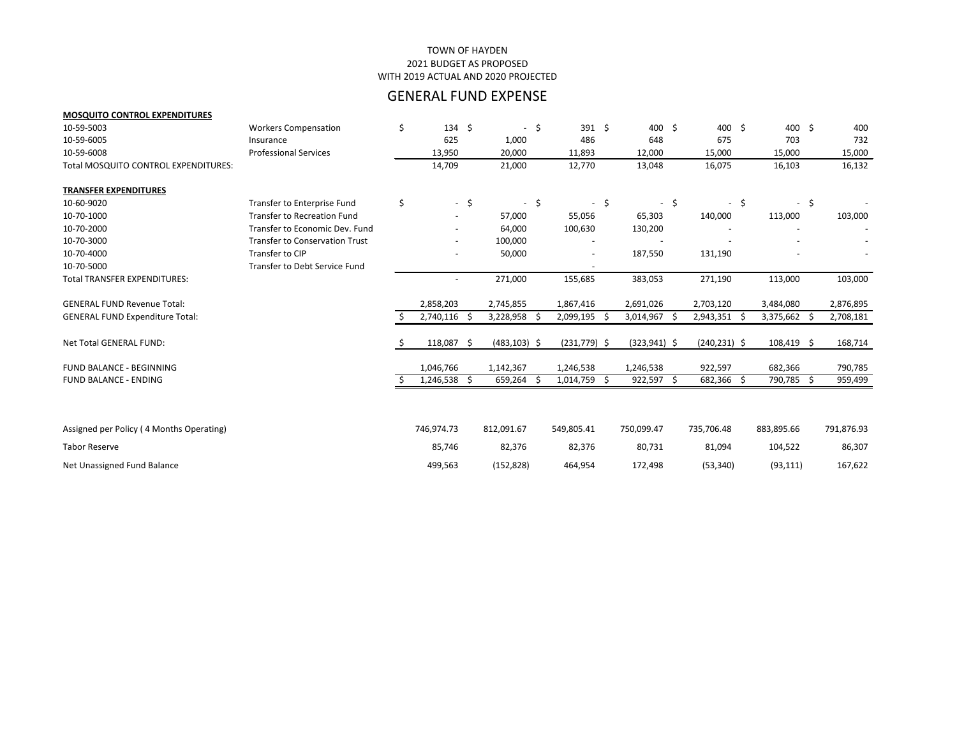#### 2021 BUDGET AS PROPOSED WITH 2019 ACTUAL AND 2020 PROJECTED TOWN OF HAYDEN

# GENERAL FUND EXPENSE

#### **MOSQUITO CONTROL EXPENDITURES**

| 10-59-5003                               | <b>Workers Compensation</b>           | \$<br>$134 \; \text{S}$  | $\sim$          | \$     | 391 \$         |         | 400 \$          |     | 400 \$          |      | 400 \$       |    | 400        |
|------------------------------------------|---------------------------------------|--------------------------|-----------------|--------|----------------|---------|-----------------|-----|-----------------|------|--------------|----|------------|
| 10-59-6005                               | Insurance                             | 625                      | 1,000           |        | 486            |         | 648             |     | 675             |      | 703          |    | 732        |
| 10-59-6008                               | <b>Professional Services</b>          | 13,950                   | 20,000          |        | 11,893         |         | 12,000          |     | 15,000          |      | 15,000       |    | 15,000     |
| Total MOSQUITO CONTROL EXPENDITURES:     |                                       | 14,709                   | 21,000          |        | 12,770         |         | 13,048          |     | 16,075          |      | 16,103       |    | 16,132     |
| <b>TRANSFER EXPENDITURES</b>             |                                       |                          |                 |        |                |         |                 |     |                 |      |              |    |            |
| 10-60-9020                               | <b>Transfer to Enterprise Fund</b>    | \$<br>$-$ \$             |                 | $-$ \$ | $\sim 10$      | $\zeta$ | $\sim$          | \$  |                 | $-5$ | $\sim$       | \$ |            |
| 10-70-1000                               | <b>Transfer to Recreation Fund</b>    |                          | 57,000          |        | 55,056         |         | 65,303          |     | 140,000         |      | 113,000      |    | 103,000    |
| 10-70-2000                               | Transfer to Economic Dev. Fund        |                          | 64,000          |        | 100,630        |         | 130,200         |     |                 |      |              |    |            |
| 10-70-3000                               | <b>Transfer to Conservation Trust</b> | $\overline{\phantom{a}}$ | 100,000         |        |                |         |                 |     |                 |      |              |    |            |
| 10-70-4000                               | Transfer to CIP                       | $\overline{\phantom{a}}$ | 50,000          |        |                |         | 187,550         |     | 131,190         |      |              |    |            |
| 10-70-5000                               | Transfer to Debt Service Fund         |                          |                 |        |                |         |                 |     |                 |      |              |    |            |
| <b>Total TRANSFER EXPENDITURES:</b>      |                                       | $\overline{a}$           | 271,000         |        | 155,685        |         | 383,053         |     | 271,190         |      | 113,000      |    | 103,000    |
| <b>GENERAL FUND Revenue Total:</b>       |                                       | 2,858,203                | 2,745,855       |        | 1,867,416      |         | 2,691,026       |     | 2,703,120       |      | 3,484,080    |    | 2,876,895  |
| <b>GENERAL FUND Expenditure Total:</b>   |                                       | 2,740,116 \$             | 3,228,958       |        | 2,099,195      | \$.     | 3,014,967       | -\$ | 2,943,351 \$    |      | 3,375,662    | -S | 2,708,181  |
| Net Total GENERAL FUND:                  |                                       | 118,087 \$               | $(483, 103)$ \$ |        | $(231,779)$ \$ |         | $(323, 941)$ \$ |     | $(240, 231)$ \$ |      | $108,419$ \$ |    | 168,714    |
| FUND BALANCE - BEGINNING                 |                                       | 1,046,766                | 1,142,367       |        | 1,246,538      |         | 1,246,538       |     | 922,597         |      | 682,366      |    | 790,785    |
| <b>FUND BALANCE - ENDING</b>             |                                       | $1,246,538$ \$           | 659,264 \$      |        | 1,014,759      | -S      | 922,597 \$      |     | 682,366         | -S   | 790,785 \$   |    | 959,499    |
|                                          |                                       |                          |                 |        |                |         |                 |     |                 |      |              |    |            |
| Assigned per Policy (4 Months Operating) |                                       | 746,974.73               | 812,091.67      |        | 549,805.41     |         | 750,099.47      |     | 735,706.48      |      | 883,895.66   |    | 791,876.93 |
|                                          |                                       |                          |                 |        |                |         |                 |     |                 |      |              |    |            |
| <b>Tabor Reserve</b>                     |                                       | 85,746                   | 82,376          |        | 82,376         |         | 80,731          |     | 81,094          |      | 104,522      |    | 86,307     |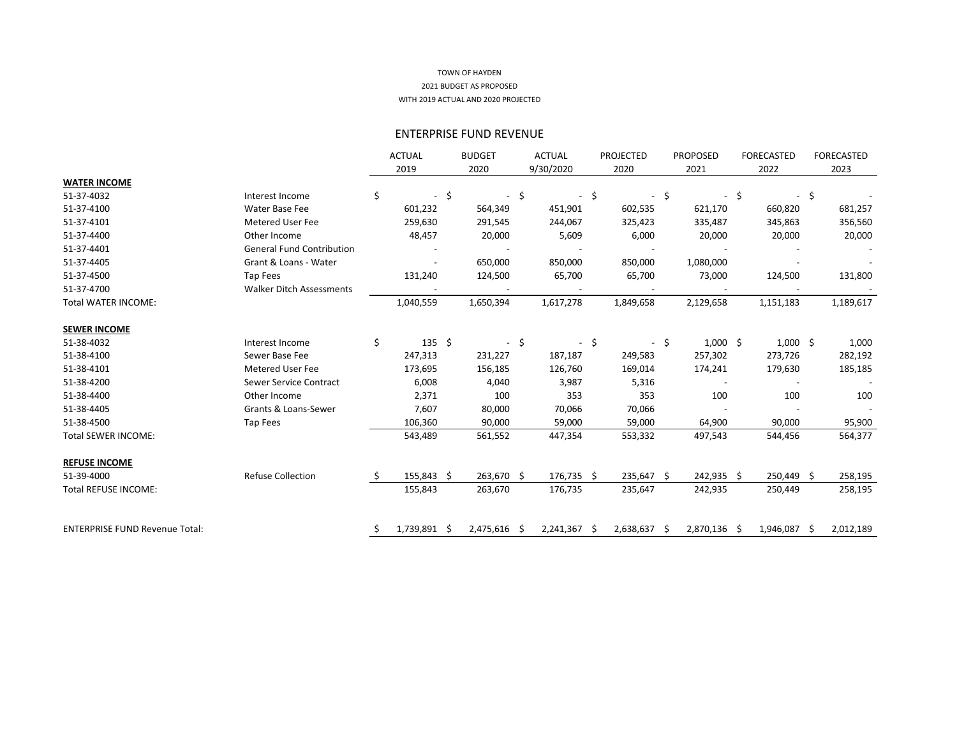## ENTERPRISE FUND REVENUE

| 9/30/2020<br>2020<br>-\$<br>$\sim$<br>451,901<br>602,535<br>244,067<br>325,423 | 2021<br>\$<br>621,170<br>335,487 | 2022<br>\$<br>660,820      | 2023<br>\$                                                                           |
|--------------------------------------------------------------------------------|----------------------------------|----------------------------|--------------------------------------------------------------------------------------|
|                                                                                |                                  |                            |                                                                                      |
|                                                                                |                                  |                            |                                                                                      |
|                                                                                |                                  |                            |                                                                                      |
|                                                                                |                                  |                            | 681,257                                                                              |
|                                                                                |                                  | 345,863                    | 356,560                                                                              |
|                                                                                | 20,000                           | 20,000                     | 20,000                                                                               |
|                                                                                |                                  |                            |                                                                                      |
| 850,000<br>850,000                                                             | 1,080,000                        |                            |                                                                                      |
| 65,700<br>65,700                                                               | 73,000                           | 124,500                    | 131,800                                                                              |
|                                                                                |                                  |                            |                                                                                      |
| 1,617,278<br>1,849,658                                                         | 2,129,658                        | 1,151,183                  | 1,189,617                                                                            |
|                                                                                |                                  |                            |                                                                                      |
| $-5$                                                                           | \$                               |                            | 1,000                                                                                |
| 187,187<br>249,583                                                             | 257,302                          | 273,726                    | 282,192                                                                              |
| 169,014<br>126,760                                                             | 174,241                          | 179,630                    | 185,185                                                                              |
| 3,987<br>5,316                                                                 |                                  |                            |                                                                                      |
| 353<br>353                                                                     | 100                              | 100                        | 100                                                                                  |
| 70,066<br>70,066                                                               |                                  |                            |                                                                                      |
| 59,000<br>59,000                                                               | 64,900                           | 90,000                     | 95,900                                                                               |
| 447,354<br>553,332                                                             | 497,543                          | 544,456                    | 564,377                                                                              |
|                                                                                |                                  |                            |                                                                                      |
| 176,735 \$                                                                     |                                  |                            | 258,195                                                                              |
| 176,735<br>235,647                                                             | 242,935                          | 250,449                    | 258,195                                                                              |
|                                                                                |                                  |                            | 2,012,189                                                                            |
|                                                                                | 5,609<br>6,000<br>$2,241,367$ \$ | 235,647 \$<br>2,638,637 \$ | $1,000$ \$<br>$1,000$ \$<br>242,935 \$<br>250,449 \$<br>2,870,136 \$<br>1,946,087 \$ |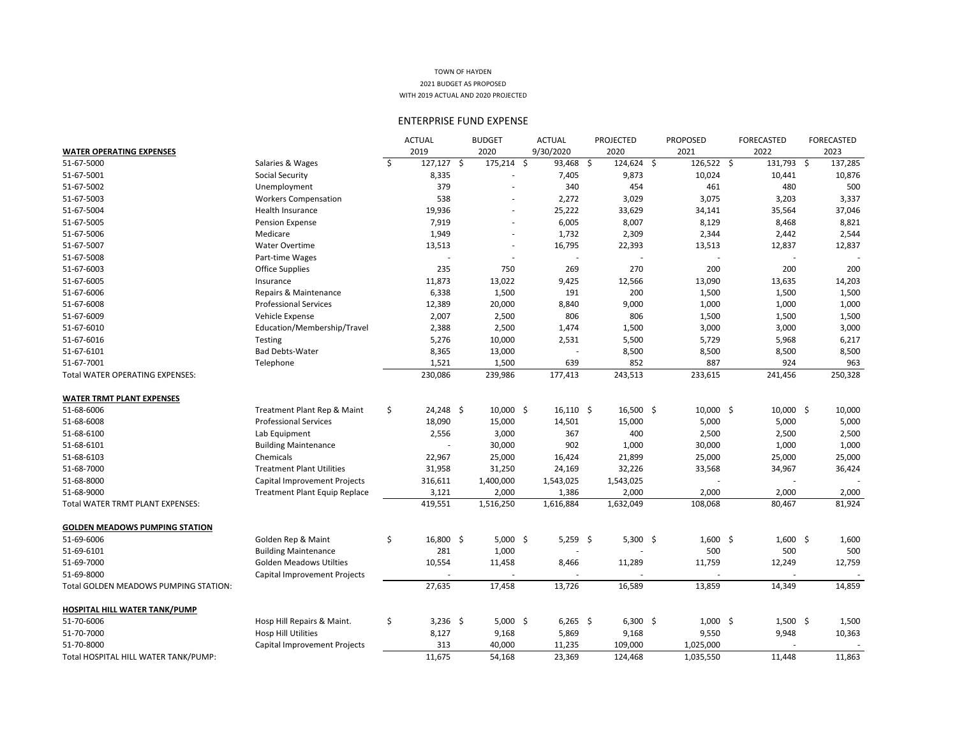|                                       |                                      | <b>ACTUAL</b>      | <b>BUDGET</b> | <b>ACTUAL</b>            |                      | <b>PROJECTED</b> | <b>PROPOSED</b> | <b>FORECASTED</b> | <b>FORECASTED</b> |
|---------------------------------------|--------------------------------------|--------------------|---------------|--------------------------|----------------------|------------------|-----------------|-------------------|-------------------|
| <b>WATER OPERATING EXPENSES</b>       |                                      | 2019               | 2020          |                          | 9/30/2020            | 2020             | 2021            | 2022              | 2023              |
| 51-67-5000                            | Salaries & Wages                     | \$<br>$127,127$ \$ | $175,214$ \$  |                          | 93,468 \$            | $124,624$ \$     | 126,522 \$      | 131,793 \$        | 137,285           |
| 51-67-5001                            | <b>Social Security</b>               | 8,335              |               |                          | 7,405                | 9,873            | 10,024          | 10,441            | 10,876            |
| 51-67-5002                            | Unemployment                         | 379                |               |                          | 340                  | 454              | 461             | 480               | 500               |
| 51-67-5003                            | <b>Workers Compensation</b>          | 538                |               | $\overline{\phantom{a}}$ | 2,272                | 3,029            | 3,075           | 3,203             | 3,337             |
| 51-67-5004                            | Health Insurance                     | 19,936             |               | $\overline{\phantom{a}}$ | 25,222               | 33,629           | 34,141          | 35,564            | 37,046            |
| 51-67-5005                            | Pension Expense                      | 7,919              |               | $\overline{\phantom{a}}$ | 6,005                | 8,007            | 8,129           | 8,468             | 8,821             |
| 51-67-5006                            | Medicare                             | 1,949              |               | $\overline{\phantom{a}}$ | 1,732                | 2,309            | 2,344           | 2,442             | 2,544             |
| 51-67-5007                            | <b>Water Overtime</b>                | 13,513             |               |                          | 16,795               | 22,393           | 13,513          | 12,837            | 12,837            |
| 51-67-5008                            | Part-time Wages                      |                    |               |                          |                      |                  |                 |                   |                   |
| 51-67-6003                            | <b>Office Supplies</b>               | 235                | 750           |                          | 269                  | 270              | 200             | 200               | 200               |
| 51-67-6005                            | Insurance                            | 11,873             | 13,022        |                          | 9,425                | 12,566           | 13,090          | 13,635            | 14,203            |
| 51-67-6006                            | Repairs & Maintenance                | 6,338              | 1,500         |                          | 191                  | 200              | 1,500           | 1,500             | 1,500             |
| 51-67-6008                            | <b>Professional Services</b>         | 12,389             | 20,000        |                          | 8,840                | 9,000            | 1,000           | 1,000             | 1,000             |
| 51-67-6009                            | Vehicle Expense                      | 2,007              | 2,500         |                          | 806                  | 806              | 1,500           | 1,500             | 1,500             |
| 51-67-6010                            | Education/Membership/Travel          | 2,388              | 2,500         |                          | 1,474                | 1,500            | 3,000           | 3,000             | 3,000             |
| 51-67-6016                            | <b>Testing</b>                       | 5,276              | 10,000        |                          | 2,531                | 5,500            | 5,729           | 5,968             | 6,217             |
| 51-67-6101                            | <b>Bad Debts-Water</b>               | 8,365              | 13,000        |                          |                      | 8,500            | 8,500           | 8,500             | 8,500             |
| 51-67-7001                            | Telephone                            | 1,521              | 1,500         |                          | 639                  | 852              | 887             | 924               | 963               |
| Total WATER OPERATING EXPENSES:       |                                      | 230,086            | 239,986       |                          | 177,413              | 243,513          | 233,615         | 241,456           | 250,328           |
|                                       |                                      |                    |               |                          |                      |                  |                 |                   |                   |
| <b>WATER TRMT PLANT EXPENSES</b>      |                                      |                    |               |                          |                      |                  |                 |                   |                   |
| 51-68-6006                            | Treatment Plant Rep & Maint          | \$<br>$24,248$ \$  | $10,000$ \$   |                          | $16,110 \; \text{S}$ | $16,500$ \$      | $10,000$ \$     | $10,000$ \$       | 10,000            |
| 51-68-6008                            | <b>Professional Services</b>         | 18,090             | 15,000        |                          | 14,501               | 15,000           | 5,000           | 5,000             | 5,000             |
| 51-68-6100                            | Lab Equipment                        | 2,556              | 3,000         |                          | 367                  | 400              | 2,500           | 2,500             | 2,500             |
| 51-68-6101                            | <b>Building Maintenance</b>          |                    | 30,000        |                          | 902                  | 1,000            | 30,000          | 1,000             | 1,000             |
| 51-68-6103                            | Chemicals                            | 22,967             | 25,000        |                          | 16,424               | 21,899           | 25,000          | 25,000            | 25,000            |
| 51-68-7000                            | <b>Treatment Plant Utilities</b>     | 31,958             | 31,250        |                          | 24,169               | 32,226           | 33,568          | 34,967            | 36,424            |
| 51-68-8000                            | Capital Improvement Projects         | 316,611            | 1,400,000     |                          | 1,543,025            | 1,543,025        |                 |                   |                   |
| 51-68-9000                            | <b>Treatment Plant Equip Replace</b> | 3,121              | 2,000         |                          | 1,386                | 2,000            | 2,000           | 2,000             | 2,000             |
| Total WATER TRMT PLANT EXPENSES:      |                                      | 419,551            | 1,516,250     |                          | 1,616,884            | 1,632,049        | 108,068         | 80,467            | 81,924            |
|                                       |                                      |                    |               |                          |                      |                  |                 |                   |                   |
| <b>GOLDEN MEADOWS PUMPING STATION</b> |                                      |                    |               |                          |                      |                  |                 |                   |                   |
| 51-69-6006                            | Golden Rep & Maint                   | \$<br>16,800 \$    | $5,000$ \$    |                          | $5,259$ \$           | $5,300$ \$       | $1,600$ \$      | $1,600$ \$        | 1,600             |
| 51-69-6101                            | <b>Building Maintenance</b>          | 281                | 1,000         |                          |                      |                  | 500             | 500               | 500               |
| 51-69-7000                            | <b>Golden Meadows Utilties</b>       | 10,554             | 11,458        |                          | 8,466                | 11,289           | 11,759          | 12,249            | 12,759            |
| 51-69-8000                            | Capital Improvement Projects         |                    |               |                          |                      |                  |                 |                   |                   |
| Total GOLDEN MEADOWS PUMPING STATION: |                                      | 27,635             | 17,458        |                          | 13,726               | 16,589           | 13,859          | 14,349            | 14,859            |
|                                       |                                      |                    |               |                          |                      |                  |                 |                   |                   |
| <b>HOSPITAL HILL WATER TANK/PUMP</b>  |                                      |                    |               |                          |                      |                  |                 |                   |                   |
| 51-70-6006                            | Hosp Hill Repairs & Maint.           | \$<br>3,236 \$     | $5,000$ \$    |                          | $6,265$ \$           | $6,300$ \$       | $1,000$ \$      | $1,500$ \$        | 1,500             |
| 51-70-7000                            | Hosp Hill Utilities                  | 8,127              | 9,168         |                          | 5,869                | 9,168            | 9,550           | 9,948             | 10,363            |
| 51-70-8000                            | Capital Improvement Projects         | 313                | 40,000        |                          | 11,235               | 109,000          | 1,025,000       |                   |                   |
| Total HOSPITAL HILL WATER TANK/PUMP:  |                                      | 11,675             | 54,168        |                          | 23,369               | 124,468          | 1,035,550       | 11,448            | 11,863            |

## ENTERPRISE FUND EXPENSE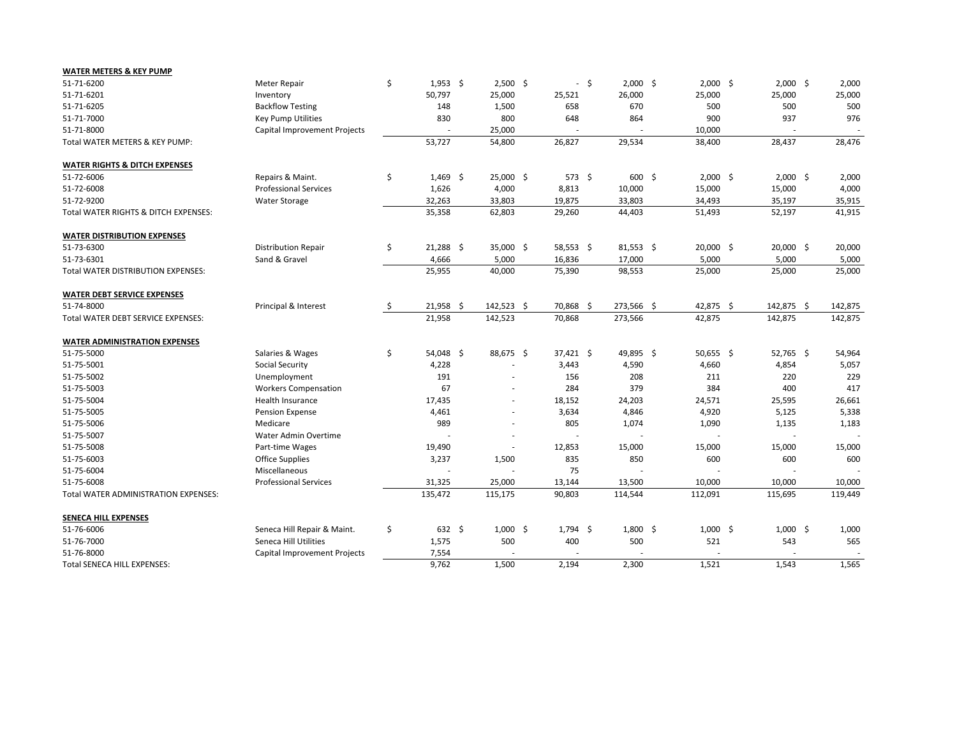| <b>WATER METERS &amp; KEY PUMP</b>       |                              |     |             |                          |                          |                |             |             |             |         |
|------------------------------------------|------------------------------|-----|-------------|--------------------------|--------------------------|----------------|-------------|-------------|-------------|---------|
| 51-71-6200                               | Meter Repair                 | \$  | $1,953$ \$  | $2,500$ \$               | $\overline{\phantom{0}}$ | $\ddot{\zeta}$ | $2,000$ \$  | $2,000$ \$  | $2,000$ \$  | 2,000   |
| 51-71-6201                               | Inventory                    |     | 50,797      | 25,000                   | 25,521                   |                | 26,000      | 25,000      | 25,000      | 25,000  |
| 51-71-6205                               | <b>Backflow Testing</b>      |     | 148         | 1,500                    | 658                      |                | 670         | 500         | 500         | 500     |
| 51-71-7000                               | Key Pump Utilities           |     | 830         | 800                      | 648                      |                | 864         | 900         | 937         | 976     |
| 51-71-8000                               | Capital Improvement Projects |     |             | 25,000                   |                          |                |             | 10,000      |             |         |
| Total WATER METERS & KEY PUMP:           |                              |     | 53,727      | 54,800                   | 26,827                   |                | 29,534      | 38,400      | 28,437      | 28,476  |
| <b>WATER RIGHTS &amp; DITCH EXPENSES</b> |                              |     |             |                          |                          |                |             |             |             |         |
| 51-72-6006                               | Repairs & Maint.             | \$  | $1,469$ \$  | $25,000$ \$              | 573 \$                   |                | $600 \div$  | $2,000$ \$  | $2,000$ \$  | 2,000   |
| 51-72-6008                               | <b>Professional Services</b> |     | 1,626       | 4,000                    | 8,813                    |                | 10,000      | 15,000      | 15,000      | 4,000   |
| 51-72-9200                               | <b>Water Storage</b>         |     | 32,263      | 33,803                   | 19,875                   |                | 33,803      | 34,493      | 35,197      | 35,915  |
| Total WATER RIGHTS & DITCH EXPENSES:     |                              |     | 35,358      | 62,803                   | 29,260                   |                | 44,403      | 51,493      | 52,197      | 41,915  |
| <b>WATER DISTRIBUTION EXPENSES</b>       |                              |     |             |                          |                          |                |             |             |             |         |
| 51-73-6300                               | <b>Distribution Repair</b>   | \$  | $21,288$ \$ | $35,000$ \$              | $58,553$ \$              |                | $81,553$ \$ | $20,000$ \$ | $20,000$ \$ | 20,000  |
| 51-73-6301                               | Sand & Gravel                |     | 4,666       | 5,000                    | 16,836                   |                | 17,000      | 5,000       | 5,000       | 5,000   |
| Total WATER DISTRIBUTION EXPENSES:       |                              |     | 25,955      | 40,000                   | 75,390                   |                | 98,553      | 25,000      | 25,000      | 25,000  |
| <b>WATER DEBT SERVICE EXPENSES</b>       |                              |     |             |                          |                          |                |             |             |             |         |
| 51-74-8000                               | Principal & Interest         | -\$ | $21,958$ \$ | $142,523$ \$             | 70,868 \$                |                | 273,566 \$  | 42,875 \$   | 142,875 \$  | 142,875 |
| Total WATER DEBT SERVICE EXPENSES:       |                              |     | 21,958      | 142,523                  | 70,868                   |                | 273,566     | 42,875      | 142,875     | 142,875 |
| <b>WATER ADMINISTRATION EXPENSES</b>     |                              |     |             |                          |                          |                |             |             |             |         |
| 51-75-5000                               | Salaries & Wages             | \$  | $54,048$ \$ | 88,675 \$                | $37,421$ \$              |                | 49,895 \$   | 50,655 \$   | $52,765$ \$ | 54,964  |
| 51-75-5001                               | <b>Social Security</b>       |     | 4,228       |                          | 3,443                    |                | 4,590       | 4,660       | 4,854       | 5,057   |
| 51-75-5002                               | Unemployment                 |     | 191         |                          | 156                      |                | 208         | 211         | 220         | 229     |
| 51-75-5003                               | <b>Workers Compensation</b>  |     | 67          |                          | 284                      |                | 379         | 384         | 400         | 417     |
| 51-75-5004                               | <b>Health Insurance</b>      |     | 17,435      | $\overline{\phantom{a}}$ | 18,152                   |                | 24,203      | 24,571      | 25,595      | 26,661  |
| 51-75-5005                               | Pension Expense              |     | 4,461       | $\overline{\phantom{a}}$ | 3,634                    |                | 4,846       | 4,920       | 5,125       | 5,338   |
| 51-75-5006                               | Medicare                     |     | 989         |                          | 805                      |                | 1,074       | 1,090       | 1,135       | 1,183   |
| 51-75-5007                               | Water Admin Overtime         |     |             |                          |                          |                |             |             |             |         |
| 51-75-5008                               | Part-time Wages              |     | 19,490      |                          | 12,853                   |                | 15,000      | 15,000      | 15,000      | 15,000  |
| 51-75-6003                               | <b>Office Supplies</b>       |     | 3,237       | 1,500                    | 835                      |                | 850         | 600         | 600         | 600     |
| 51-75-6004                               | Miscellaneous                |     |             |                          | 75                       |                |             |             |             |         |
| 51-75-6008                               | <b>Professional Services</b> |     | 31,325      | 25,000                   | 13,144                   |                | 13,500      | 10,000      | 10,000      | 10,000  |
| Total WATER ADMINISTRATION EXPENSES:     |                              |     | 135,472     | 115,175                  | 90,803                   |                | 114,544     | 112,091     | 115,695     | 119,449 |
| <b>SENECA HILL EXPENSES</b>              |                              |     |             |                          |                          |                |             |             |             |         |
| 51-76-6006                               | Seneca Hill Repair & Maint.  | \$  | $632 \div$  | $1,000$ \$               | $1,794$ \$               |                | $1,800$ \$  | $1,000$ \$  | $1,000$ \$  | 1,000   |
| 51-76-7000                               | Seneca Hill Utilities        |     | 1,575       | 500                      | 400                      |                | 500         | 521         | 543         | 565     |
| 51-76-8000                               | Capital Improvement Projects |     | 7,554       |                          |                          |                |             |             |             |         |
| Total SENECA HILL EXPENSES:              |                              |     | 9,762       | 1,500                    | 2,194                    |                | 2,300       | 1,521       | 1,543       | 1,565   |

| 2,000   | \$        | 2,000   |
|---------|-----------|---------|
| 25,000  |           | 25,000  |
| 500     |           | 500     |
| 937     |           | 976     |
|         |           |         |
| 28,437  |           | 28,476  |
|         |           |         |
|         |           |         |
| 2,000   | \$        | 2,000   |
| 15,000  |           | 4,000   |
| 35,197  |           | 35,915  |
| 52,197  |           | 41,915  |
|         |           |         |
| 20,000  | \$        | 20,000  |
| 5,000   |           | 5,000   |
| 25,000  |           | 25,000  |
|         |           |         |
|         |           |         |
| 142,875 | <u>\$</u> | 142,875 |
| 142,875 |           | 142,875 |
|         |           |         |
|         |           |         |
| 52,765  | \$        | 54,964  |
| 4,854   |           | 5,057   |
| 220     |           | 229     |
| 400     |           | 417     |
| 25,595  |           | 26,661  |
| 5,125   |           | 5,338   |
| 1,135   |           | 1,183   |
|         |           |         |
| 15,000  |           | 15,000  |
| 600     |           | 600     |
|         |           |         |
| 10,000  |           | 10,000  |
| 115,695 |           | 119,449 |
|         |           |         |
|         |           |         |
| 1,000   | \$        | 1,000   |
| 543     |           | 565     |
|         |           |         |
| 1,543   |           | 1,565   |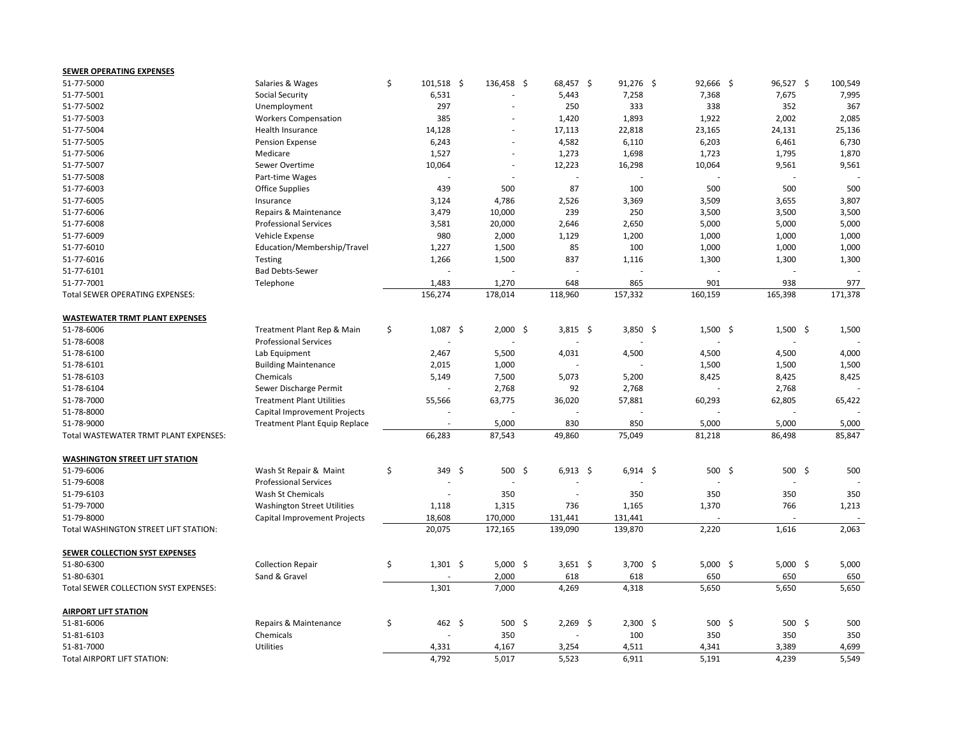| <b>SEWER OPERATING EXPENSES</b>                     |                                    |                            |                          |            |         |             |             |            |             |         |
|-----------------------------------------------------|------------------------------------|----------------------------|--------------------------|------------|---------|-------------|-------------|------------|-------------|---------|
| 51-77-5000                                          | Salaries & Wages                   | \$<br>$101,518$ \$         | $136,458$ \$             | 68,457 \$  |         | $91,276$ \$ | $92,666$ \$ |            | $96,527$ \$ | 100,549 |
| 51-77-5001                                          | <b>Social Security</b>             | 6,531                      |                          | 5,443      |         | 7,258       | 7,368       |            | 7,675       | 7,995   |
| 51-77-5002                                          | Unemployment                       | 297                        |                          | 250        |         | 333         | 338         |            | 352         | 367     |
| 51-77-5003                                          | <b>Workers Compensation</b>        | 385                        |                          | 1,420      |         | 1,893       | 1,922       |            | 2,002       | 2,085   |
| 51-77-5004                                          | Health Insurance                   | 14,128                     | $\overline{\phantom{a}}$ | 17,113     | 22,818  |             | 23,165      |            | 24,131      | 25,136  |
| 51-77-5005                                          | Pension Expense                    | 6,243                      |                          | 4,582      |         | 6,110       | 6,203       |            | 6,461       | 6,730   |
| 51-77-5006                                          | Medicare                           | 1,527                      | $\overline{\phantom{a}}$ | 1,273      |         | 1,698       | 1,723       |            | 1,795       | 1,870   |
| 51-77-5007                                          | Sewer Overtime                     | 10,064                     | $\overline{\phantom{a}}$ | 12,223     | 16,298  |             | 10,064      |            | 9,561       | 9,561   |
| 51-77-5008                                          | Part-time Wages                    |                            |                          |            |         |             |             |            |             |         |
| 51-77-6003                                          | <b>Office Supplies</b>             | 439                        | 500                      | 87         |         | 100         | 500         |            | 500         | 500     |
| 51-77-6005                                          | Insurance                          | 3,124                      | 4,786                    | 2,526      |         | 3,369       | 3,509       |            | 3,655       | 3,807   |
| 51-77-6006                                          | Repairs & Maintenance              | 3,479                      | 10,000                   | 239        |         | 250         | 3,500       |            | 3,500       | 3,500   |
| 51-77-6008                                          | <b>Professional Services</b>       | 3,581                      | 20,000                   | 2,646      |         | 2,650       | 5,000       |            | 5,000       | 5,000   |
| 51-77-6009                                          | Vehicle Expense                    | 980                        | 2,000                    | 1,129      |         | 1,200       | 1,000       |            | 1,000       | 1,000   |
| 51-77-6010                                          | Education/Membership/Travel        | 1,227                      | 1,500                    | 85         |         | 100         | 1,000       |            | 1,000       | 1,000   |
| 51-77-6016                                          | <b>Testing</b>                     | 1,266                      | 1,500                    | 837        |         | 1,116       | 1,300       |            | 1,300       | 1,300   |
| 51-77-6101                                          | <b>Bad Debts-Sewer</b>             |                            |                          |            |         |             |             |            |             |         |
| 51-77-7001                                          | Telephone                          | 1,483                      | 1,270                    | 648        |         | 865         | 901         |            | 938         | 977     |
| Total SEWER OPERATING EXPENSES:                     |                                    | 156,274                    | 178,014                  | 118,960    | 157,332 |             | 160,159     |            | 165,398     | 171,378 |
|                                                     |                                    |                            |                          |            |         |             |             |            |             |         |
| <b>WASTEWATER TRMT PLANT EXPENSES</b>               |                                    |                            |                          |            |         |             |             |            |             |         |
| 51-78-6006                                          | Treatment Plant Rep & Main         | \$<br>$1,087$ \$           | $2,000$ \$               | $3,815$ \$ |         | 3,850 \$    |             | $1,500$ \$ | $1,500$ \$  | 1,500   |
| 51-78-6008                                          | <b>Professional Services</b>       |                            |                          |            |         |             |             |            |             |         |
| 51-78-6100                                          | Lab Equipment                      | 2,467                      | 5,500                    | 4,031      |         | 4,500       | 4,500       |            | 4,500       | 4,000   |
| 51-78-6101                                          | <b>Building Maintenance</b>        | 2,015                      | 1,000                    |            |         |             | 1,500       |            | 1,500       | 1,500   |
| 51-78-6103                                          | Chemicals                          | 5,149                      | 7,500                    | 5,073      |         | 5,200       | 8,425       |            | 8,425       | 8,425   |
| 51-78-6104                                          | Sewer Discharge Permit             |                            | 2,768                    | 92         |         | 2,768       |             |            | 2,768       |         |
| 51-78-7000                                          | <b>Treatment Plant Utilities</b>   | 55,566                     | 63,775                   | 36,020     | 57,881  |             | 60,293      |            | 62,805      | 65,422  |
| 51-78-8000                                          | Capital Improvement Projects       |                            |                          |            |         |             |             |            |             |         |
| 51-78-9000                                          | Treatment Plant Equip Replace      |                            | 5,000                    | 830        |         | 850         | 5,000       |            | 5,000       | 5,000   |
| Total WASTEWATER TRMT PLANT EXPENSES:               |                                    | 66,283                     | 87,543                   | 49,860     | 75,049  |             | 81,218      |            | 86,498      | 85,847  |
|                                                     |                                    |                            |                          |            |         |             |             |            |             |         |
| <b>WASHINGTON STREET LIFT STATION</b><br>51-79-6006 | Wash St Repair & Maint             | \$<br>349 \$               | $500$ \$                 | $6,913$ \$ |         | $6,914$ \$  |             | 500 \$     | 500 \$      | 500     |
| 51-79-6008                                          | <b>Professional Services</b>       |                            |                          |            |         |             |             |            |             |         |
| 51-79-6103                                          | Wash St Chemicals                  |                            | 350                      |            |         | 350         | 350         |            | 350         | 350     |
| 51-79-7000                                          | <b>Washington Street Utilities</b> | 1,118                      | 1,315                    | 736        |         | 1,165       | 1,370       |            | 766         | 1,213   |
| 51-79-8000                                          | Capital Improvement Projects       | 18,608                     | 170,000                  | 131,441    | 131,441 |             |             |            |             |         |
| Total WASHINGTON STREET LIFT STATION:               |                                    | 20,075                     | 172,165                  | 139,090    | 139,870 |             | 2,220       |            | 1,616       | 2,063   |
|                                                     |                                    |                            |                          |            |         |             |             |            |             |         |
| <b>SEWER COLLECTION SYST EXPENSES</b>               |                                    |                            |                          |            |         |             |             |            |             |         |
| 51-80-6300                                          | <b>Collection Repair</b>           | \$<br>$1,301 \; \; \simeq$ | $5,000$ \$               | 3,651 \$   |         | 3,700 \$    |             | $5,000$ \$ | $5,000$ \$  | 5,000   |
| 51-80-6301                                          | Sand & Gravel                      |                            | 2,000                    | 618        |         | 618         | 650         |            | 650         | 650     |
| Total SEWER COLLECTION SYST EXPENSES:               |                                    | 1,301                      | 7,000                    | 4,269      |         | 4,318       | 5,650       |            | 5,650       | 5,650   |
| <b>AIRPORT LIFT STATION</b>                         |                                    |                            |                          |            |         |             |             |            |             |         |
| 51-81-6006                                          | Repairs & Maintenance              | \$<br>462 \$               | $500 \div$               | $2,269$ \$ |         | $2,300$ \$  |             | 500 \$     | $500 \div$  | 500     |
| 51-81-6103                                          | Chemicals                          |                            | 350                      |            |         | 100         | 350         |            | 350         | 350     |
| 51-81-7000                                          | Utilities                          | 4,331                      | 4,167                    | 3,254      |         | 4,511       | 4,341       |            | 3,389       | 4,699   |
| Total AIRPORT LIFT STATION:                         |                                    | 4,792                      | 5,017                    | 5,523      |         | 6,911       | 5,191       |            | 4,239       | 5,549   |

| 96,527         | Ş   | 100,549 |
|----------------|-----|---------|
| 7,675          |     | 7,995   |
| 352            |     | 367     |
| 2,002          |     | 2,085   |
| 24,131         |     | 25,136  |
| 6,461          |     | 6,730   |
| 1,795          |     | 1,870   |
|                |     |         |
| 9,561          |     | 9,561   |
| 500            |     | 500     |
| 3,655          |     | 3,807   |
| 3,500          |     | 3,500   |
| 5,000          |     | 5,000   |
| 1,000          |     | 1,000   |
| 1,000          |     | 1,000   |
| 1,300          |     | 1,300   |
|                |     |         |
| 938            |     | 977     |
| 165,398        |     | 171,378 |
|                |     |         |
|                |     |         |
| 1,500          | \$  | 1,500   |
|                |     |         |
| 4,500          |     | 4,000   |
| 1,500          |     | 1,500   |
| 8,425          |     | 8,425   |
| 2,768          |     |         |
| 62,805         |     | 65,422  |
|                |     |         |
|                |     |         |
| 5,000          |     | 5,000   |
| 86,498         |     | 85,847  |
| 500            | -\$ | 500     |
|                |     |         |
| 350            |     | 350     |
| 766            |     | 1,213   |
|                |     |         |
| 1,616          |     | 2,063   |
|                |     |         |
| 5,000          | \$  | 5,000   |
| 650            |     | 650     |
| 5,650          |     | 5,650   |
|                |     |         |
| 500            | \$  | 500     |
| 350            |     | 350     |
|                |     |         |
| 3,389<br>4,239 |     | 4,699   |
|                |     | 5,549   |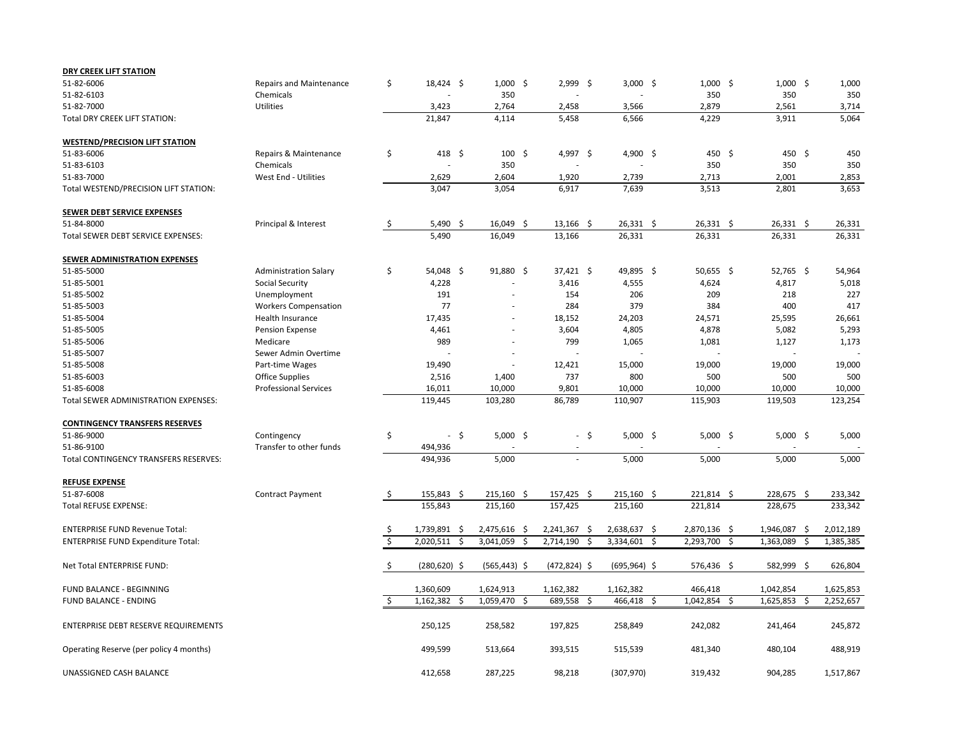| <b>DRY CREEK LIFT STATION</b>             |                                |               |                 |                          |                 |                          |                 |                |                |           |
|-------------------------------------------|--------------------------------|---------------|-----------------|--------------------------|-----------------|--------------------------|-----------------|----------------|----------------|-----------|
| 51-82-6006                                | <b>Repairs and Maintenance</b> | \$            | $18,424$ \$     | $1,000$ \$               | $2,999$ \$      |                          | $3,000$ \$      | $1,000$ \$     | $1,000$ \$     | 1,000     |
| 51-82-6103                                | Chemicals                      |               |                 | 350                      |                 |                          |                 | 350            | 350            | 350       |
| 51-82-7000                                | Utilities                      |               | 3,423           | 2,764                    | 2,458           |                          | 3,566           | 2,879          | 2,561          | 3,714     |
| <b>Total DRY CREEK LIFT STATION:</b>      |                                |               | 21,847          | 4,114                    | 5,458           |                          | 6,566           | 4,229          | 3,911          | 5,064     |
| <b>WESTEND/PRECISION LIFT STATION</b>     |                                |               |                 |                          |                 |                          |                 |                |                |           |
| 51-83-6006                                | Repairs & Maintenance          | \$            | 418 \$          | $100 \div$               | 4,997 \$        |                          | 4,900 \$        | 450 \$         | 450 \$         | 450       |
| 51-83-6103                                | Chemicals                      |               |                 | 350                      |                 |                          |                 | 350            | 350            | 350       |
| 51-83-7000                                | West End - Utilities           |               | 2,629           | 2,604                    | 1,920           |                          | 2,739           | 2,713          | 2,001          | 2,853     |
| Total WESTEND/PRECISION LIFT STATION:     |                                |               | 3,047           | 3,054                    | 6,917           |                          | 7,639           | 3,513          | 2,801          | 3,653     |
| SEWER DEBT SERVICE EXPENSES               |                                |               |                 |                          |                 |                          |                 |                |                |           |
| 51-84-8000                                | Principal & Interest           | S.            | $5,490$ \$      | $16,049$ \$              | $13,166$ \$     |                          | $26,331$ \$     | $26,331$ \$    | $26,331$ \$    | 26,331    |
| Total SEWER DEBT SERVICE EXPENSES:        |                                |               | 5,490           | 16,049                   | 13,166          |                          | 26,331          | 26,331         | 26,331         | 26,331    |
| <b>SEWER ADMINISTRATION EXPENSES</b>      |                                |               |                 |                          |                 |                          |                 |                |                |           |
| 51-85-5000                                | <b>Administration Salary</b>   | \$            | $54,048$ \$     | $91,880$ \$              | $37,421$ \$     |                          | 49,895 \$       | $50,655$ \$    | $52,765$ \$    | 54,964    |
| 51-85-5001                                | <b>Social Security</b>         |               | 4,228           |                          | 3,416           |                          | 4,555           | 4,624          | 4,817          | 5,018     |
| 51-85-5002                                | Unemployment                   |               | 191             |                          | 154             |                          | 206             | 209            | 218            | 227       |
| 51-85-5003                                | <b>Workers Compensation</b>    |               | 77              |                          | 284             |                          | 379             | 384            | 400            | 417       |
| 51-85-5004                                | Health Insurance               |               | 17,435          | $\overline{\phantom{a}}$ | 18,152          |                          | 24,203          | 24,571         | 25,595         | 26,661    |
| 51-85-5005                                | Pension Expense                |               | 4,461           |                          | 3,604           |                          | 4,805           | 4,878          | 5,082          | 5,293     |
| 51-85-5006                                | Medicare                       |               | 989             |                          | 799             |                          | 1,065           | 1,081          | 1,127          | 1,173     |
| 51-85-5007                                | Sewer Admin Overtime           |               |                 |                          |                 |                          |                 |                |                |           |
| 51-85-5008                                | Part-time Wages                |               | 19,490          |                          | 12,421          |                          | 15,000          | 19,000         | 19,000         | 19,000    |
| 51-85-6003                                | <b>Office Supplies</b>         |               | 2,516           | 1,400                    | 737             |                          | 800             | 500            | 500            | 500       |
| 51-85-6008                                | <b>Professional Services</b>   |               | 16,011          | 10,000                   | 9,801           |                          | 10,000          | 10,000         | 10,000         | 10,000    |
| Total SEWER ADMINISTRATION EXPENSES:      |                                |               | 119,445         | 103,280                  | 86,789          |                          | 110,907         | 115,903        | 119,503        | 123,254   |
| <b>CONTINGENCY TRANSFERS RESERVES</b>     |                                |               |                 |                          |                 |                          |                 |                |                |           |
| 51-86-9000                                | Contingency                    |               | - \$            | $5,000$ \$               |                 | - \$                     | $5,000$ \$      | $5,000$ \$     | $5,000$ \$     | 5,000     |
| 51-86-9100                                | Transfer to other funds        |               | 494,936         |                          |                 |                          |                 |                |                |           |
| Total CONTINGENCY TRANSFERS RESERVES:     |                                |               | 494,936         | 5,000                    |                 | $\overline{\phantom{a}}$ | 5,000           | 5,000          | 5,000          | 5,000     |
| <b>REFUSE EXPENSE</b>                     |                                |               |                 |                          |                 |                          |                 |                |                |           |
| 51-87-6008                                | <b>Contract Payment</b>        | \$            | 155,843 \$      | $215,160$ \$             | 157,425 \$      |                          | $215,160$ \$    | $221,814$ \$   | 228,675 \$     | 233,342   |
| <b>Total REFUSE EXPENSE:</b>              |                                |               | 155,843         | 215,160                  | 157,425         |                          | 215,160         | 221,814        | 228,675        | 233,342   |
| <b>ENTERPRISE FUND Revenue Total:</b>     |                                |               | 1,739,891 \$    | 2,475,616 \$             | $2,241,367$ \$  |                          | 2,638,637 \$    | 2,870,136 \$   | 1,946,087 \$   | 2,012,189 |
| <b>ENTERPRISE FUND Expenditure Total:</b> |                                |               | $2,020,511$ \$  | $3,041,059$ \$           | 2,714,190 \$    |                          | $3,334,601$ \$  | 2,293,700 \$   | 1,363,089 \$   | 1,385,385 |
| Net Total ENTERPRISE FUND:                |                                | $\frac{1}{2}$ | $(280, 620)$ \$ | $(565, 443)$ \$          | $(472, 824)$ \$ |                          | $(695, 964)$ \$ | 576,436 \$     | 582,999 \$     | 626,804   |
| FUND BALANCE - BEGINNING                  |                                |               | 1,360,609       | 1,624,913                | 1,162,382       |                          | 1,162,382       | 466,418        | 1,042,854      | 1,625,853 |
| <b>FUND BALANCE - ENDING</b>              |                                |               | $1,162,382$ \$  | $1,059,470$ \$           | 689,558 \$      |                          | 466,418 \$      | $1,042,854$ \$ | $1,625,853$ \$ | 2,252,657 |
| ENTERPRISE DEBT RESERVE REQUIREMENTS      |                                |               | 250,125         | 258,582                  | 197,825         |                          | 258,849         | 242,082        | 241,464        | 245,872   |
| Operating Reserve (per policy 4 months)   |                                |               | 499,599         | 513,664                  | 393,515         |                          | 515,539         | 481,340        | 480,104        | 488,919   |
| UNASSIGNED CASH BALANCE                   |                                |               | 412,658         | 287,225                  | 98,218          |                          | (307, 970)      | 319,432        | 904,285        | 1,517,867 |

| 1,000     | \$          | 1,000     |
|-----------|-------------|-----------|
| 350       |             | 350       |
| 2,561     |             | 3,714     |
| 3,911     |             | 5,064     |
|           |             |           |
|           |             |           |
| 450       | \$          | 450       |
| 350       |             | 350       |
| 2,001     |             | 2,853     |
| 2,801     |             | 3,653     |
|           |             |           |
|           |             |           |
| 26,331    | \$          | 26,331    |
| 26,331    |             | 26,331    |
|           |             |           |
|           |             |           |
| 52,765    | \$          | 54,964    |
| 4,817     |             | 5,018     |
| 218       |             | 227       |
| 400       |             | 417       |
| 25,595    |             | 26,661    |
| 5,082     |             | 5,293     |
| 1,127     |             | 1,173     |
|           |             |           |
| 19,000    |             | 19,000    |
| 500       |             | 500       |
| 10,000    |             | 10,000    |
| 119,503   |             | 123,254   |
|           |             |           |
|           |             |           |
| 5,000     | \$          | 5,000     |
|           |             |           |
| 5,000     |             | 5,000     |
|           |             |           |
|           |             |           |
| 228,675   |             | 233,342   |
| 228,675   |             | 233,342   |
|           |             |           |
| 1,946,087 |             | 2,012,189 |
| 1,363,089 | $rac{5}{5}$ | 1,385,385 |
|           |             |           |
| 582,999   | \$          | 626,804   |
|           |             |           |
| 1,042,854 |             | 1,625,853 |
| 1,625,853 | \$          | 2,252,657 |
|           |             |           |
| 241,464   |             | 245,872   |
|           |             |           |
| 480,104   |             | 488,919   |
|           |             |           |
| 904,285   |             | 1,517,867 |
|           |             |           |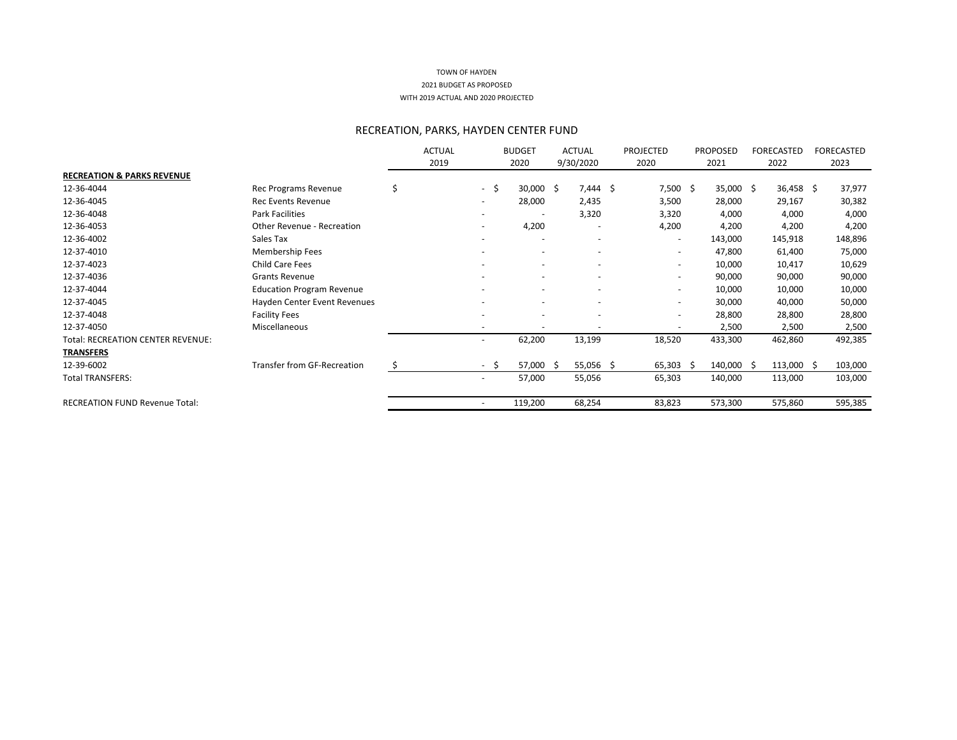# RECREATION, PARKS, HAYDEN CENTER FUND

|                                       |                                    |    | <b>ACTUAL</b> |      | <b>BUDGET</b>            | <b>ACTUAL</b> | <b>PROJECTED</b>         | <b>PROPOSED</b> | <b>FORECASTED</b>           | FORECASTED |
|---------------------------------------|------------------------------------|----|---------------|------|--------------------------|---------------|--------------------------|-----------------|-----------------------------|------------|
|                                       |                                    |    | 2019          |      | 2020                     | 9/30/2020     | 2020                     | 2021            | 2022                        | 2023       |
| <b>RECREATION &amp; PARKS REVENUE</b> |                                    |    |               |      |                          |               |                          |                 |                             |            |
| 12-36-4044                            | Rec Programs Revenue               | \$ |               | - \$ | $30,000$ \$              | $7,444$ \$    | $7,500$ \$               | $35,000$ \$     | $36,458$ \$                 | 37,977     |
| 12-36-4045                            | <b>Rec Events Revenue</b>          |    |               |      | 28,000                   | 2,435         | 3,500                    | 28,000          | 29,167                      | 30,382     |
| 12-36-4048                            | Park Facilities                    |    |               |      |                          | 3,320         | 3,320                    | 4,000           | 4,000                       | 4,000      |
| 12-36-4053                            | <b>Other Revenue - Recreation</b>  |    |               |      | 4,200                    |               | 4,200                    | 4,200           | 4,200                       | 4,200      |
| 12-36-4002                            | Sales Tax                          |    |               |      | $\overline{\phantom{a}}$ |               | $\overline{\phantom{0}}$ | 143,000         | 145,918                     | 148,896    |
| 12-37-4010                            | Membership Fees                    |    |               |      | $\overline{\phantom{a}}$ |               |                          | 47,800          | 61,400                      | 75,000     |
| 12-37-4023                            | <b>Child Care Fees</b>             |    |               |      | $\overline{\phantom{a}}$ |               | $\overline{\phantom{0}}$ | 10,000          | 10,417                      | 10,629     |
| 12-37-4036                            | <b>Grants Revenue</b>              |    |               |      | $\overline{\phantom{a}}$ |               | $\overline{\phantom{0}}$ | 90,000          | 90,000                      | 90,000     |
| 12-37-4044                            | <b>Education Program Revenue</b>   |    |               |      | $\overline{\phantom{a}}$ |               | $\overline{\phantom{0}}$ | 10,000          | 10,000                      | 10,000     |
| 12-37-4045                            | Hayden Center Event Revenues       |    |               |      | $\overline{\phantom{a}}$ |               | -                        | 30,000          | 40,000                      | 50,000     |
| 12-37-4048                            | <b>Facility Fees</b>               |    |               |      | $\overline{\phantom{a}}$ |               |                          | 28,800          | 28,800                      | 28,800     |
| 12-37-4050                            | Miscellaneous                      |    |               |      | $\overline{\phantom{a}}$ |               |                          | 2,500           | 2,500                       | 2,500      |
| Total: RECREATION CENTER REVENUE:     |                                    |    |               |      | 62,200                   | 13,199        | 18,520                   | 433,300         | 462,860                     | 492,385    |
| <b>TRANSFERS</b>                      |                                    |    |               |      |                          |               |                          |                 |                             |            |
| 12-39-6002                            | <b>Transfer from GF-Recreation</b> | S  |               | $-5$ | 57,000 \$                | $55,056$ \$   | $65,303$ \$              | $140,000$ \$    | $113,000 \; \; \; \; \;$ \$ | 103,000    |
| <b>Total TRANSFERS:</b>               |                                    |    |               |      | 57,000                   | 55,056        | 65,303                   | 140,000         | 113,000                     | 103,000    |
| <b>RECREATION FUND Revenue Total:</b> |                                    |    |               |      | 119,200                  | 68,254        | 83,823                   | 573,300         | 575,860                     | 595,385    |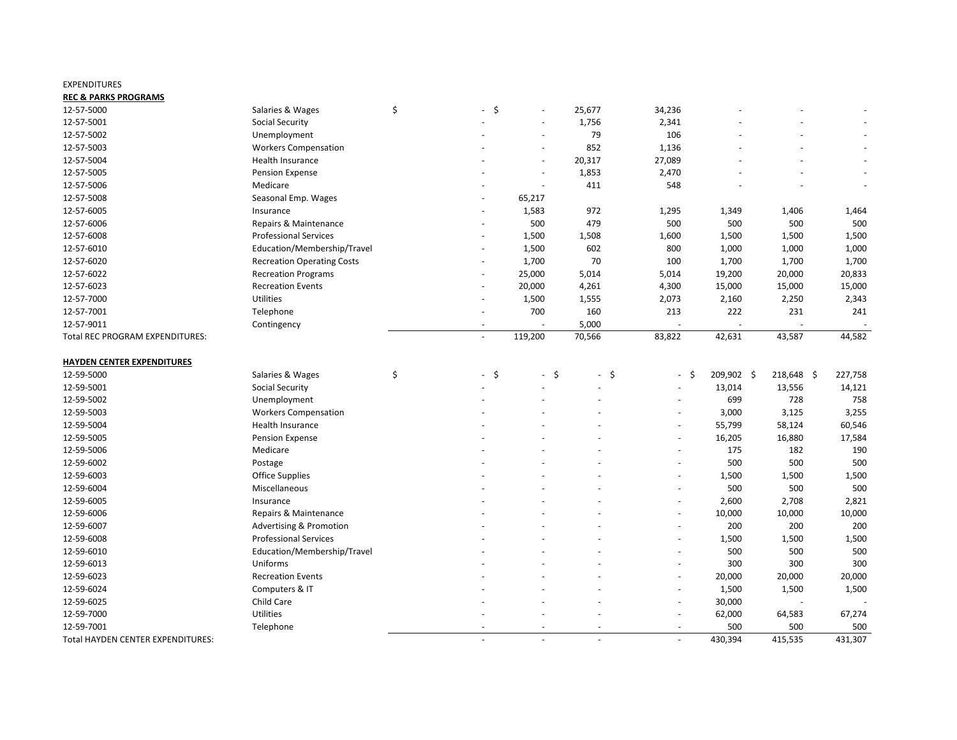#### EXPENDITURES

#### **REC & PARKS PROGRAMS**

| 12-57-5000                                      | Salaries & Wages                                                   | \$<br>$-$ \$ | $\sim$                       | 25,677       | 34,236 |               |               |               |
|-------------------------------------------------|--------------------------------------------------------------------|--------------|------------------------------|--------------|--------|---------------|---------------|---------------|
| 12-57-5001                                      | <b>Social Security</b>                                             |              |                              | 1,756        | 2,341  |               |               |               |
| 12-57-5002                                      | Unemployment                                                       |              |                              | 79           | 106    |               |               |               |
| 12-57-5003                                      | <b>Workers Compensation</b>                                        |              | $\overline{\phantom{a}}$     | 852          | 1,136  |               |               |               |
| 12-57-5004                                      | Health Insurance                                                   |              | $\overline{\phantom{a}}$     | 20,317       | 27,089 |               |               |               |
| 12-57-5005                                      | <b>Pension Expense</b>                                             |              | $\overline{\phantom{a}}$     | 1,853        | 2,470  |               |               |               |
| 12-57-5006                                      | Medicare                                                           |              |                              | 411          | 548    |               |               |               |
| 12-57-5008                                      | Seasonal Emp. Wages                                                |              | 65,217                       |              |        |               |               |               |
| 12-57-6005                                      | Insurance                                                          |              | 1,583                        | 972          | 1,295  | 1,349         | 1,406         | 1,464         |
| 12-57-6006                                      | Repairs & Maintenance                                              |              | 500                          | 479          | 500    | 500           | 500           | 500           |
| 12-57-6008                                      | <b>Professional Services</b>                                       |              | 1,500                        | 1,508        | 1,600  | 1,500         | 1,500         | 1,500         |
| 12-57-6010                                      | Education/Membership/Travel                                        |              | 1,500                        | 602          | 800    | 1,000         | 1,000         | 1,000         |
| 12-57-6020                                      | <b>Recreation Operating Costs</b>                                  |              | 1,700                        | 70           | 100    | 1,700         | 1,700         | 1,700         |
| 12-57-6022                                      | <b>Recreation Programs</b>                                         |              | 25,000                       | 5,014        | 5,014  | 19,200        | 20,000        | 20,833        |
| 12-57-6023                                      | <b>Recreation Events</b>                                           |              | 20,000                       | 4,261        | 4,300  | 15,000        | 15,000        | 15,000        |
| 12-57-7000                                      | Utilities                                                          |              | 1,500                        | 1,555        | 2,073  | 2,160         | 2,250         | 2,343         |
| 12-57-7001                                      | Telephone                                                          |              | 700                          | 160          | 213    | 222           | 231           | 241           |
| 12-57-9011                                      | Contingency                                                        |              |                              | 5,000        |        |               |               |               |
| Total REC PROGRAM EXPENDITURES:                 |                                                                    |              | 119,200                      | 70,566       | 83,822 | 42,631        | 43,587        | 44,582        |
|                                                 |                                                                    |              |                              |              |        |               |               |               |
| <b>HAYDEN CENTER EXPENDITURES</b><br>12-59-5000 | Salaries & Wages                                                   | \$<br>$-$ \$ | $\ddot{\varsigma}$<br>$\sim$ | \$<br>$\sim$ | - \$   | 209,902 \$    | 218,648 \$    | 227,758       |
| 12-59-5001                                      | <b>Social Security</b>                                             |              |                              |              |        | 13,014        | 13,556        |               |
| 12-59-5002                                      | Unemployment                                                       |              |                              |              | $ \,$  | 699           | 728           | 14,121<br>758 |
| 12-59-5003                                      | <b>Workers Compensation</b>                                        |              |                              |              |        | 3,000         | 3,125         | 3,255         |
| 12-59-5004                                      | Health Insurance                                                   |              |                              |              |        |               |               |               |
|                                                 |                                                                    |              |                              |              |        | 55,799        | 58,124        | 60,546        |
| 12-59-5005<br>12-59-5006                        | Pension Expense<br>Medicare                                        |              |                              |              |        | 16,205<br>175 | 16,880<br>182 | 17,584<br>190 |
| 12-59-6002                                      |                                                                    |              |                              |              |        | 500           | 500           | 500           |
| 12-59-6003                                      | Postage                                                            |              |                              |              |        |               |               |               |
| 12-59-6004                                      | <b>Office Supplies</b><br>Miscellaneous                            |              |                              |              |        | 1,500<br>500  | 1,500<br>500  | 1,500<br>500  |
| 12-59-6005                                      |                                                                    |              |                              |              |        | 2,600         | 2,708         |               |
| 12-59-6006                                      | Insurance<br>Repairs & Maintenance                                 |              |                              |              |        | 10,000        | 10,000        | 2,821         |
|                                                 |                                                                    |              |                              |              |        |               |               | 10,000        |
| 12-59-6007<br>12-59-6008                        | <b>Advertising &amp; Promotion</b><br><b>Professional Services</b> |              |                              |              |        | 200           | 200           | 200           |
|                                                 | Education/Membership/Travel                                        |              |                              |              |        | 1,500         | 1,500         | 1,500         |
| 12-59-6010                                      |                                                                    |              |                              |              |        | 500           | 500           | 500           |
| 12-59-6013                                      | Uniforms                                                           |              |                              |              |        | 300           | 300           | 300           |
| 12-59-6023                                      | <b>Recreation Events</b>                                           |              |                              |              |        | 20,000        | 20,000        | 20,000        |
| 12-59-6024                                      | Computers & IT                                                     |              |                              |              |        | 1,500         | 1,500         | 1,500         |
| 12-59-6025                                      | Child Care                                                         |              |                              |              |        | 30,000        |               |               |
| 12-59-7000                                      | Utilities                                                          |              |                              |              |        | 62,000        | 64,583        | 67,274        |
| 12-59-7001                                      | Telephone                                                          |              |                              |              |        | 500           | 500           | 500           |
| Total HAYDEN CENTER EXPENDITURES:               |                                                                    |              | $\sim$                       |              |        | 430,394       | 415,535       | 431,307       |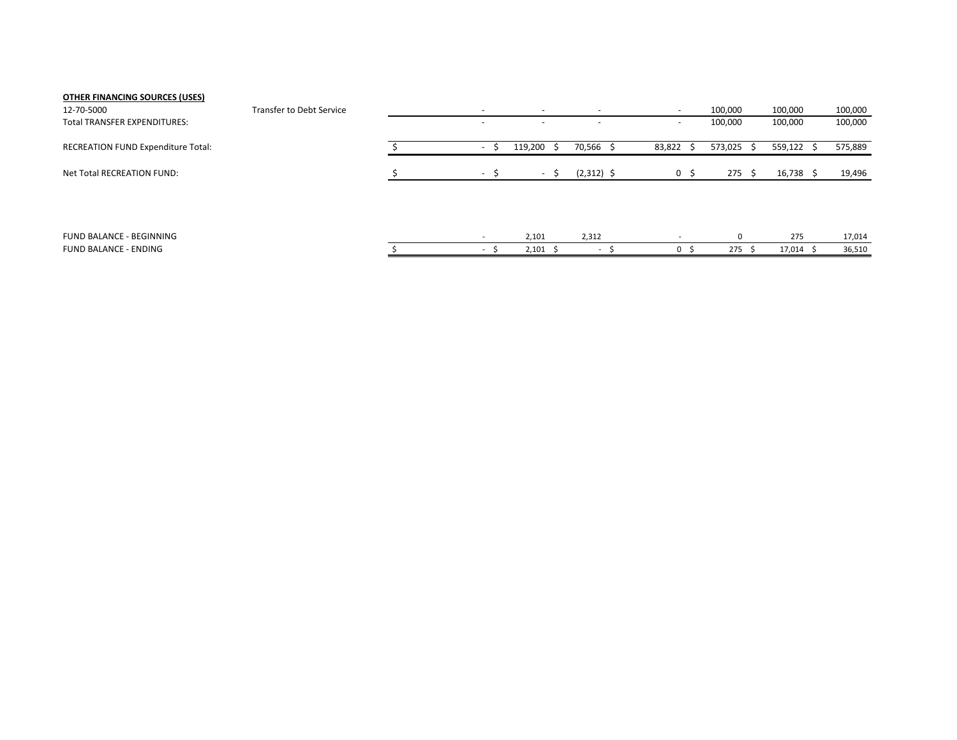# **OTHER FINANCING SOURCES (USES)**

| 12-70-5000                                | <b>Transfer to Debt Service</b> |  |                          | $\overline{\phantom{a}}$ |                | 100,000           | 100,000 | 100,000 |
|-------------------------------------------|---------------------------------|--|--------------------------|--------------------------|----------------|-------------------|---------|---------|
| <b>Total TRANSFER EXPENDITURES:</b>       |                                 |  | $\overline{\phantom{0}}$ | $\overline{\phantom{0}}$ |                | 100,000           | 100,000 | 100,000 |
| <b>RECREATION FUND Expenditure Total:</b> |                                 |  | 119,200                  | 70,566 \$                | 83,822         | $573,025$ \$      | 559,122 | 575,889 |
| Net Total RECREATION FUND:                |                                 |  | $-$                      | $(2,312)$ \$             | $\overline{0}$ | $275 \frac{2}{3}$ | 16,738  | 19,496  |
|                                           |                                 |  |                          |                          |                |                   |         |         |

| EGINNING<br><b>FUND</b><br>ANC                    |  | 2,101 | <b>2223</b><br>، ۲۰۰۰ - ۱۰۰۰ |     | $\sim$ | 17,014 |
|---------------------------------------------------|--|-------|------------------------------|-----|--------|--------|
| <b>ENDING</b><br><b>FUND</b><br>/\ I\I<br>1 M L . |  | 2.101 |                              | 275 | 17,014 | 36,510 |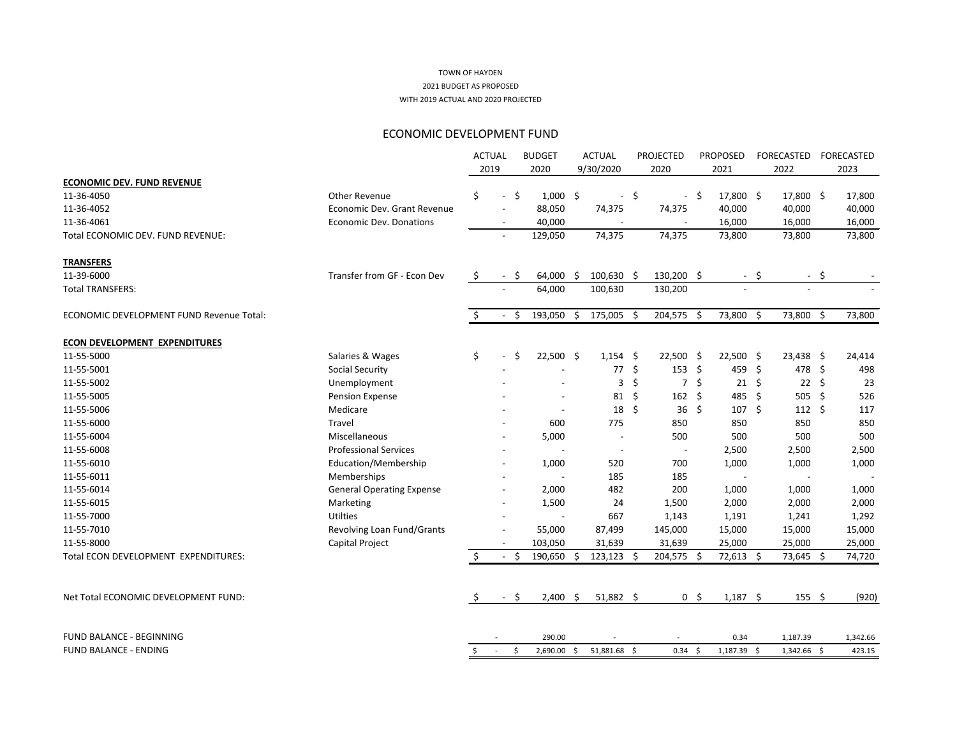# ECONOMIC DEVELOPMENT FUND

|                                                 |                                  | <b>ACTUAL</b> |                          |      | <b>BUDGET</b> |     | <b>ACTUAL</b>            | <b>PROJECTED</b>     |          | <b>PROPOSED</b>  |      | FORECASTED  |      | FORECASTED       |
|-------------------------------------------------|----------------------------------|---------------|--------------------------|------|---------------|-----|--------------------------|----------------------|----------|------------------|------|-------------|------|------------------|
| <b>ECONOMIC DEV. FUND REVENUE</b>               |                                  | 2019          |                          |      | 2020          |     | 9/30/2020                | 2020                 |          | 2021             |      | 2022        |      | 2023             |
| 11-36-4050                                      | Other Revenue                    | \$            | $\overline{\phantom{a}}$ | \$   | $1,000$ \$    |     | $\overline{\phantom{a}}$ | \$                   | -\$      | 17,800 \$        |      | 17,800 \$   |      | 17,800           |
| 11-36-4052                                      | Economic Dev. Grant Revenue      |               | $\overline{\phantom{a}}$ |      | 88,050        |     | 74,375                   | 74,375               |          | 40,000           |      | 40,000      |      | 40,000           |
| 11-36-4061                                      | <b>Economic Dev. Donations</b>   |               |                          |      | 40,000        |     |                          |                      |          |                  |      | 16,000      |      |                  |
| Total ECONOMIC DEV. FUND REVENUE:               |                                  |               | $\overline{\phantom{a}}$ |      | 129,050       |     | 74,375                   | 74,375               |          | 16,000<br>73,800 |      | 73,800      |      | 16,000<br>73,800 |
|                                                 |                                  |               |                          |      |               |     |                          |                      |          |                  |      |             |      |                  |
| <b>TRANSFERS</b>                                |                                  |               |                          |      |               |     |                          |                      |          |                  |      |             |      |                  |
| 11-39-6000                                      | Transfer from GF - Econ Dev      | \$            | $\overline{\phantom{a}}$ | -\$  | 64,000        | \$  | 100,630 \$               | 130,200 \$           |          |                  | - \$ |             | - \$ |                  |
| <b>Total TRANSFERS:</b>                         |                                  |               |                          |      | 64,000        |     | 100,630                  | 130,200              |          |                  |      |             |      |                  |
| <b>ECONOMIC DEVELOPMENT FUND Revenue Total:</b> |                                  | \$            | $\sim$                   | - \$ | 193,050       | \$  | 175,005 \$               | 204,575 \$           |          | 73,800 \$        |      | 73,800 \$   |      | 73,800           |
| <b>ECON DEVELOPMENT EXPENDITURES</b>            |                                  |               |                          |      |               |     |                          |                      |          |                  |      |             |      |                  |
| 11-55-5000                                      | Salaries & Wages                 | \$            |                          | \$   | $22,500$ \$   |     | $1,154$ \$               | $22,500$ \$          |          | $22,500$ \$      |      | $23,438$ \$ |      | 24,414           |
| 11-55-5001                                      | <b>Social Security</b>           |               |                          |      |               |     | 77                       | \$<br>153            | - Ş      | 459 \$           |      | 478 \$      |      | 498              |
| 11-55-5002                                      | Unemployment                     |               |                          |      |               |     | 3                        | \$<br>$\overline{7}$ | Ś        | $21 \quad $$     |      | $22 \div$   |      | 23               |
| 11-55-5005                                      | <b>Pension Expense</b>           |               |                          |      |               |     | 81                       | \$<br>$162 \div$     |          | 485 \$           |      | 505 \$      |      | 526              |
| 11-55-5006                                      | Medicare                         |               |                          |      |               |     | 18                       | \$<br>$36 \; \xi$    |          | $107 \div$       |      | $112 \div$  |      | 117              |
| 11-55-6000                                      | Travel                           |               |                          |      | 600           |     | 775                      | 850                  |          | 850              |      | 850         |      | 850              |
| 11-55-6004                                      | Miscellaneous                    |               |                          |      | 5,000         |     |                          | 500                  |          | 500              |      | 500         |      | 500              |
| 11-55-6008                                      | <b>Professional Services</b>     |               |                          |      |               |     |                          |                      |          | 2,500            |      | 2,500       |      | 2,500            |
| 11-55-6010                                      | Education/Membership             |               | $\overline{\phantom{a}}$ |      | 1,000         |     | 520                      | 700                  |          | 1,000            |      | 1,000       |      | 1,000            |
| 11-55-6011                                      | Memberships                      |               |                          |      |               |     | 185                      | 185                  |          |                  |      |             |      |                  |
| 11-55-6014                                      | <b>General Operating Expense</b> |               | $\overline{\phantom{a}}$ |      | 2,000         |     | 482                      | 200                  |          | 1,000            |      | 1,000       |      | 1,000            |
| 11-55-6015                                      | Marketing                        |               | $\overline{\phantom{a}}$ |      | 1,500         |     | 24                       | 1,500                |          | 2,000            |      | 2,000       |      | 2,000            |
| 11-55-7000                                      | <b>Utilties</b>                  |               |                          |      |               |     | 667                      | 1,143                |          | 1,191            |      | 1,241       |      | 1,292            |
| 11-55-7010                                      | Revolving Loan Fund/Grants       |               | $\overline{\phantom{a}}$ |      | 55,000        |     | 87,499                   | 145,000              |          | 15,000           |      | 15,000      |      | 15,000           |
| 11-55-8000                                      | Capital Project                  |               |                          |      | 103,050       |     | 31,639                   | 31,639               |          | 25,000           |      | 25,000      |      | 25,000           |
| Total ECON DEVELOPMENT EXPENDITURES:            |                                  | \$            |                          | - \$ | 190,650       | \$. | $123,123$ \$             | 204,575 \$           |          | $72,613$ \$      |      | 73,645 \$   |      | 74,720           |
|                                                 |                                  |               |                          |      |               |     |                          |                      |          |                  |      |             |      |                  |
| Net Total ECONOMIC DEVELOPMENT FUND:            |                                  |               |                          | $-5$ | $2,400$ \$    |     | $51,882$ \$              |                      | $0\,$ \$ | $1,187$ \$       |      | 155 \$      |      | (920)            |
| FUND BALANCE - BEGINNING                        |                                  |               |                          |      | 290.00        |     |                          |                      |          | 0.34             |      | 1,187.39    |      | 1,342.66         |
| <b>FUND BALANCE - ENDING</b>                    |                                  | S.            | $\sim 10^{-1}$           | \$   | $2,690.00$ \$ |     | 51,881.68 \$             | $0.34 \div$          |          | 1,187.39 \$      |      | 1,342.66 \$ |      | 423.15           |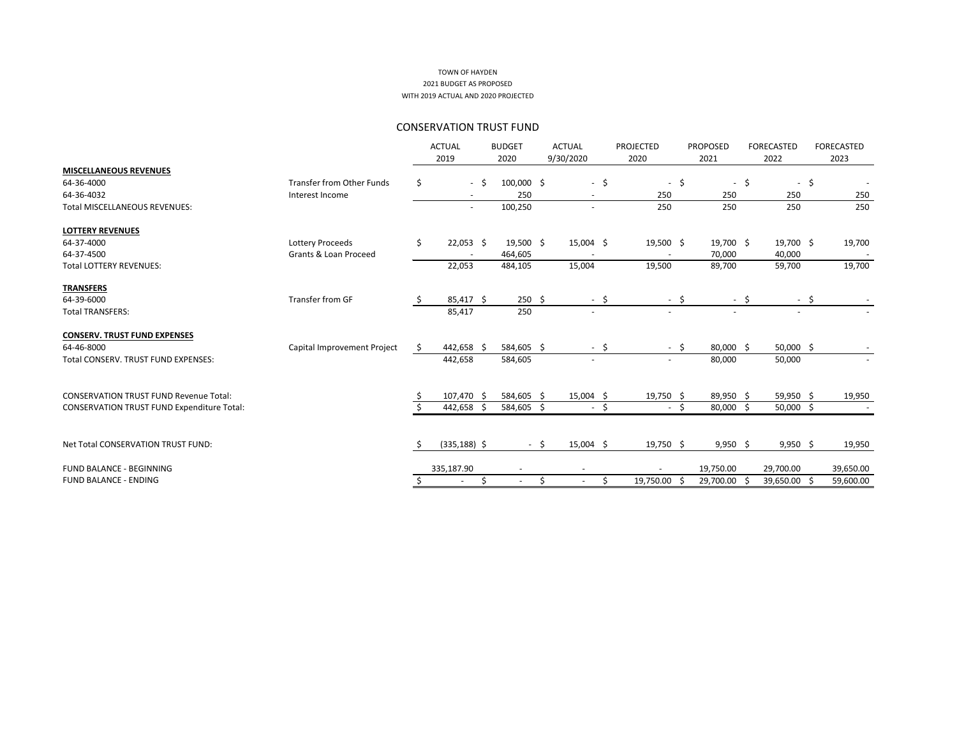|                                                   |                                  |     | <b>ACTUAL</b>   |      | <b>BUDGET</b>            |        | <b>ACTUAL</b> |        | <b>PROJECTED</b>         |        | <b>PROPOSED</b> |      | <b>FORECASTED</b> |        | <b>FORECASTED</b> |
|---------------------------------------------------|----------------------------------|-----|-----------------|------|--------------------------|--------|---------------|--------|--------------------------|--------|-----------------|------|-------------------|--------|-------------------|
|                                                   |                                  |     | 2019            |      | 2020                     |        | 9/30/2020     |        | 2020                     |        | 2021            |      | 2022              |        | 2023              |
| <b>MISCELLANEOUS REVENUES</b>                     |                                  |     |                 |      |                          |        |               |        |                          |        |                 |      |                   |        |                   |
| 64-36-4000                                        | <b>Transfer from Other Funds</b> | \$  |                 | $-5$ | 100,000 \$               |        |               | $-$ \$ | $\sim$                   | \$     | $\sim$          | -\$  |                   | $-$ \$ |                   |
| 64-36-4032                                        | Interest Income                  |     |                 |      | 250                      |        |               |        | 250                      |        | 250             |      | 250               |        | 250               |
| <b>Total MISCELLANEOUS REVENUES:</b>              |                                  |     |                 |      | 100,250                  |        |               |        | 250                      |        | 250             |      | 250               |        | 250               |
| <b>LOTTERY REVENUES</b>                           |                                  |     |                 |      |                          |        |               |        |                          |        |                 |      |                   |        |                   |
| 64-37-4000                                        | Lottery Proceeds                 | \$  | $22,053$ \$     |      | 19,500 \$                |        | $15,004$ \$   |        | 19,500 \$                |        | 19,700 \$       |      | 19,700 \$         |        | 19,700            |
| 64-37-4500                                        | Grants & Loan Proceed            |     |                 |      | 464,605                  |        |               |        |                          |        | 70,000          |      | 40,000            |        |                   |
| <b>Total LOTTERY REVENUES:</b>                    |                                  |     | 22,053          |      | 484,105                  |        | 15,004        |        | 19,500                   |        | 89,700          |      | 59,700            |        | 19,700            |
| <b>TRANSFERS</b>                                  |                                  |     |                 |      |                          |        |               |        |                          |        |                 |      |                   |        |                   |
| 64-39-6000                                        | <b>Transfer from GF</b>          |     | $85,417$ \$     |      | $250 \div$               |        |               | $-$ \$ |                          | $-$ \$ |                 | - \$ |                   | $-$ \$ |                   |
| <b>Total TRANSFERS:</b>                           |                                  |     | 85,417          |      | 250                      |        |               |        |                          |        |                 |      | $\sim$            |        |                   |
| <b>CONSERV. TRUST FUND EXPENSES</b>               |                                  |     |                 |      |                          |        |               |        |                          |        |                 |      |                   |        |                   |
| 64-46-8000                                        | Capital Improvement Project      | \$. | 442,658 \$      |      | 584,605 \$               |        |               | $-$ \$ |                          | $-5$   | 80,000 \$       |      | 50,000 \$         |        |                   |
| Total CONSERV. TRUST FUND EXPENSES:               |                                  |     | 442,658         |      | 584,605                  |        | $\sim$        |        | $\sim$                   |        | 80,000          |      | 50,000            |        |                   |
| <b>CONSERVATION TRUST FUND Revenue Total:</b>     |                                  |     | 107,470 \$      |      | 584,605 \$               |        | $15,004$ \$   |        | 19,750 \$                |        | 89,950 \$       |      | 59,950 \$         |        | 19,950            |
| <b>CONSERVATION TRUST FUND Expenditure Total:</b> |                                  |     | 442,658 \$      |      | 584,605 \$               |        |               | $-$ \$ |                          | $-5$   | 80,000 \$       |      | $50,000$ \$       |        |                   |
|                                                   |                                  |     |                 |      |                          |        |               |        |                          |        |                 |      |                   |        |                   |
| Net Total CONSERVATION TRUST FUND:                |                                  |     | $(335, 188)$ \$ |      |                          | $-$ \$ | $15,004$ \$   |        | 19,750 \$                |        | $9,950$ \$      |      | $9,950$ \$        |        | 19,950            |
| FUND BALANCE - BEGINNING                          |                                  |     | 335,187.90      |      | $\overline{\phantom{a}}$ |        |               |        | $\overline{\phantom{a}}$ |        | 19,750.00       |      | 29,700.00         |        | 39,650.00         |
| <b>FUND BALANCE - ENDING</b>                      |                                  |     |                 | Ś.   | $\overline{\phantom{a}}$ | \$     |               | \$     | 19,750.00                |        | 29,700.00       | Ŝ.   | 39,650.00 \$      |        | 59,600.00         |
|                                                   |                                  |     |                 |      |                          |        |               |        |                          |        |                 |      |                   |        |                   |

## CONSERVATION TRUST FUND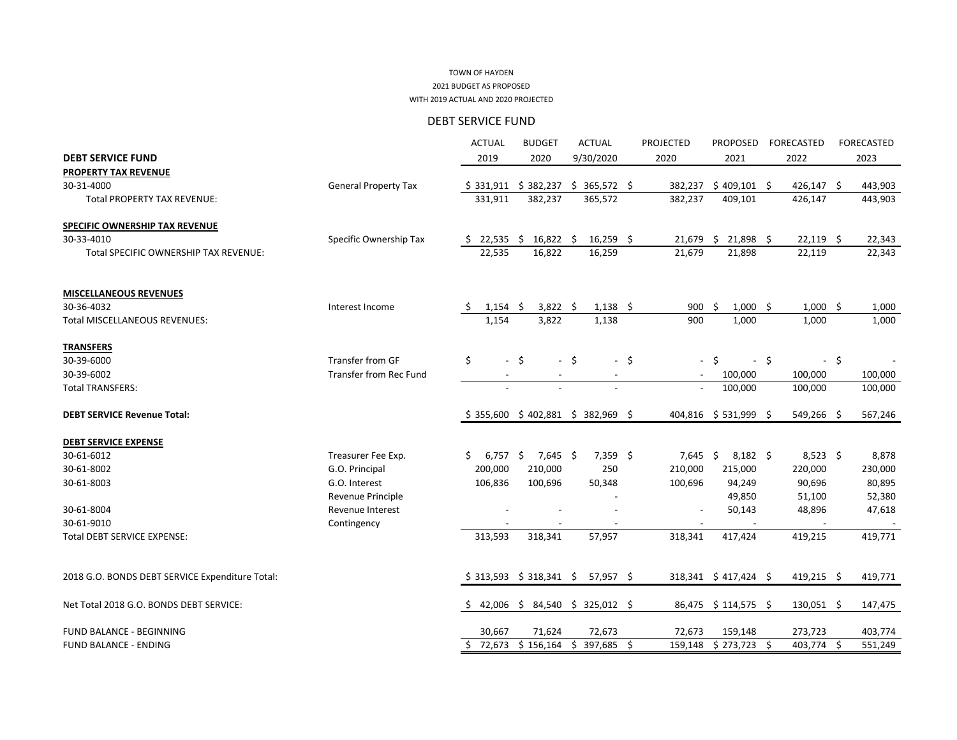#### 2021 BUDGET AS PROPOSED WITH 2019 ACTUAL AND 2020 PROJECTED TOWN OF HAYDEN

DEBT SERVICE FUND

|                                                 |                               | <b>ACTUAL</b>            | <b>BUDGET</b>               | <b>ACTUAL</b>                     | <b>PROJECTED</b> | <b>PROPOSED</b>                 | <b>FORECASTED</b> | <b>FORECASTED</b>            |
|-------------------------------------------------|-------------------------------|--------------------------|-----------------------------|-----------------------------------|------------------|---------------------------------|-------------------|------------------------------|
| <b>DEBT SERVICE FUND</b>                        |                               | 2019                     | 2020                        | 9/30/2020                         | 2020             | 2021                            | 2022              | 2023                         |
| PROPERTY TAX REVENUE                            |                               |                          |                             |                                   |                  |                                 |                   |                              |
| 30-31-4000                                      | <b>General Property Tax</b>   | \$331,911                | \$<br>382,237               | 365,572 \$<br>\$.                 | 382,237          | $$409,101$ \$                   | $426,147$ \$      | 443,903                      |
| <b>Total PROPERTY TAX REVENUE:</b>              |                               | 331,911                  | 382,237                     | 365,572                           | 382,237          | 409,101                         | 426,147           | 443,903                      |
| <b>SPECIFIC OWNERSHIP TAX REVENUE</b>           |                               |                          |                             |                                   |                  |                                 |                   |                              |
| 30-33-4010                                      | Specific Ownership Tax        | 22,535<br>Ş.             | $16,822$ \$<br><sub>S</sub> | $16,259$ \$                       | 21,679           | 21,898 \$<br>$\ddot{\varsigma}$ | 22,119            | $\ddot{\varsigma}$<br>22,343 |
| Total SPECIFIC OWNERSHIP TAX REVENUE:           |                               | 22,535                   | 16,822                      | 16,259                            | 21,679           | 21,898                          | 22,119            | 22,343                       |
| <b>MISCELLANEOUS REVENUES</b>                   |                               |                          |                             |                                   |                  |                                 |                   |                              |
| 30-36-4032                                      | Interest Income               | 1,154                    | $3,822$ \$<br>-S            | $1,138$ \$                        | 900              | $\zeta$<br>$1,000$ \$           | 1,000             | -\$<br>1,000                 |
| <b>Total MISCELLANEOUS REVENUES:</b>            |                               | 1,154                    | 3,822                       | 1,138                             | 900              | 1,000                           | 1,000             | 1,000                        |
| <b>TRANSFERS</b>                                |                               |                          |                             |                                   |                  |                                 |                   |                              |
| 30-39-6000                                      | <b>Transfer from GF</b>       | \$                       | $-$ \$                      | $-5$                              | $-5$             | $-$ \$<br>-\$                   |                   | $-$ \$                       |
| 30-39-6002                                      | <b>Transfer from Rec Fund</b> | $\overline{\phantom{a}}$ | $\overline{\phantom{a}}$    | $\overline{\phantom{a}}$          | $\sim$           | 100,000                         | 100,000           | 100,000                      |
| <b>Total TRANSFERS:</b>                         |                               | $\overline{\phantom{a}}$ | $\overline{\phantom{a}}$    | $\overline{\phantom{a}}$          | $\blacksquare$   | 100,000                         | 100,000           | 100,000                      |
| <b>DEBT SERVICE Revenue Total:</b>              |                               |                          |                             | $$355,600 \$402,881 \$382,969 \$$ |                  | 404,816 \$531,999 \$            | 549,266 \$        | 567,246                      |
| <b>DEBT SERVICE EXPENSE</b>                     |                               |                          |                             |                                   |                  |                                 |                   |                              |
| 30-61-6012                                      | Treasurer Fee Exp.            | $6,757$ \$<br>S.         | $7,645$ \$                  | $7,359$ \$                        | 7,645            | $\zeta$<br>$8,182$ \$           | $8,523$ \$        | 8,878                        |
| 30-61-8002                                      | G.O. Principal                | 200,000                  | 210,000                     | 250                               | 210,000          | 215,000                         | 220,000           | 230,000                      |
| 30-61-8003                                      | G.O. Interest                 | 106,836                  | 100,696                     | 50,348                            | 100,696          | 94,249                          | 90,696            | 80,895                       |
|                                                 | Revenue Principle             |                          |                             |                                   |                  | 49,850                          | 51,100            | 52,380                       |
| 30-61-8004                                      | Revenue Interest              |                          |                             |                                   |                  | 50,143                          | 48,896            | 47,618                       |
| 30-61-9010                                      | Contingency                   |                          |                             |                                   |                  |                                 |                   |                              |
| <b>Total DEBT SERVICE EXPENSE:</b>              |                               | 313,593                  | 318,341                     | 57,957                            | 318,341          | 417,424                         | 419,215           | 419,771                      |
| 2018 G.O. BONDS DEBT SERVICE Expenditure Total: |                               |                          | $$313,593 \$318,341 \$$     | $57,957$ \$                       |                  | $318,341 \div 417,424 \div$     | $419,215$ \$      | 419,771                      |
| Net Total 2018 G.O. BONDS DEBT SERVICE:         |                               | 42,006 \$<br>S.          |                             | 84,540 \$ 325,012 \$              |                  | 86,475 \$114,575 \$             | $130,051$ \$      | 147,475                      |
| FUND BALANCE - BEGINNING                        |                               | 30,667                   | 71,624                      | 72,673                            | 72,673           | 159,148                         | 273,723           | 403,774                      |
| <b>FUND BALANCE - ENDING</b>                    |                               | 72,673<br>S.             | $$156,164$ \$               | 397,685 \$                        |                  | 159,148 \$ 273,723 \$           | 403,774 \$        | 551,249                      |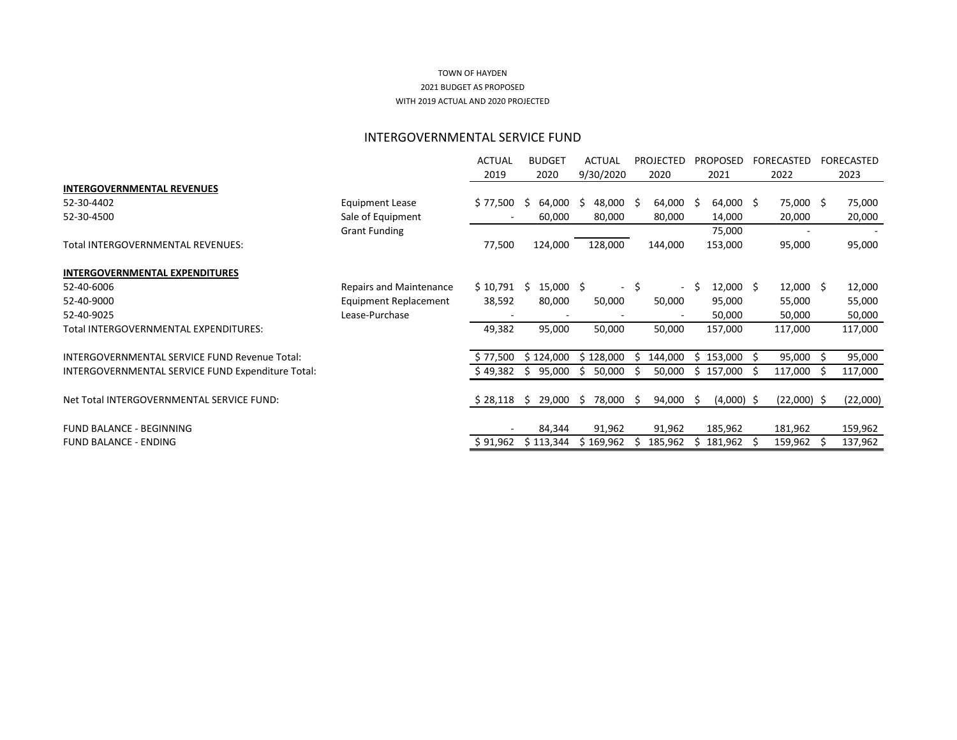## INTERGOVERNMENTAL SERVICE FUND

|                                                   |                                | <b>ACTUAL</b>            | <b>BUDGET</b> | <b>ACTUAL</b>                  | <b>PROJECTED</b>  |                          | <b>PROPOSED</b>  |              | <b>FORECASTED</b> | FORECASTED |
|---------------------------------------------------|--------------------------------|--------------------------|---------------|--------------------------------|-------------------|--------------------------|------------------|--------------|-------------------|------------|
|                                                   |                                | 2019                     | 2020          | 9/30/2020                      | 2020              |                          | 2021             |              | 2022              | 2023       |
| <b>INTERGOVERNMENTAL REVENUES</b>                 |                                |                          |               |                                |                   |                          |                  |              |                   |            |
| 52-30-4402                                        | <b>Equipment Lease</b>         | \$77,500                 | 64,000<br>S.  | \$.<br>48,000                  | $64,000$ \$<br>-S |                          | $64,000$ \$      |              | 75,000 \$         | 75,000     |
| 52-30-4500                                        | Sale of Equipment              | $\overline{\phantom{a}}$ | 60,000        | 80,000                         | 80,000            |                          | 14,000           |              | 20,000            | 20,000     |
|                                                   | <b>Grant Funding</b>           |                          |               |                                |                   |                          | 75,000           |              |                   |            |
| Total INTERGOVERNMENTAL REVENUES:                 |                                | 77,500                   | 124,000       | 128,000                        | 144,000           |                          | 153,000          |              | 95,000            | 95,000     |
| <b>INTERGOVERNMENTAL EXPENDITURES</b>             |                                |                          |               |                                |                   |                          |                  |              |                   |            |
| 52-40-6006                                        | <b>Repairs and Maintenance</b> | \$10,791                 | 15,000<br>S.  | \$<br>$\overline{\phantom{0}}$ | \$                | $\overline{\phantom{0}}$ | $12,000 \quad $$ |              | $12,000$ \$       | 12,000     |
| 52-40-9000                                        | <b>Equipment Replacement</b>   | 38,592                   | 80,000        | 50,000                         | 50,000            |                          | 95,000           |              | 55,000            | 55,000     |
| 52-40-9025                                        | Lease-Purchase                 |                          |               |                                |                   |                          | 50,000           |              | 50,000            | 50,000     |
| Total INTERGOVERNMENTAL EXPENDITURES:             |                                | 49,382                   | 95,000        | 50,000                         | 50,000            |                          | 157,000          |              | 117,000           | 117,000    |
| INTERGOVERNMENTAL SERVICE FUND Revenue Total:     |                                | \$77,500                 | \$124,000     | \$128,000                      | 144,000           | S                        | 153,000          | <sub>S</sub> | 95,000            | 95,000     |
| INTERGOVERNMENTAL SERVICE FUND Expenditure Total: |                                | \$49,382                 | 95,000<br>\$  | 50,000<br>\$.                  | 50,000            | \$.                      | 157,000          |              | 117,000           | 117,000    |
| Net Total INTERGOVERNMENTAL SERVICE FUND:         |                                | $$28,118$ \$             | 29,000        | 78,000<br>\$.                  | $94,000$ \$<br>S. |                          | $(4,000)$ \$     |              | $(22,000)$ \$     | (22,000)   |
| FUND BALANCE - BEGINNING                          |                                |                          | 84,344        | 91,962                         | 91,962            |                          | 185,962          |              | 181,962           | 159,962    |
| <b>FUND BALANCE - ENDING</b>                      |                                | \$91,962                 | \$113,344     | \$169,962                      | 185,962           |                          | 181,962          |              | 159,962           | 137,962    |